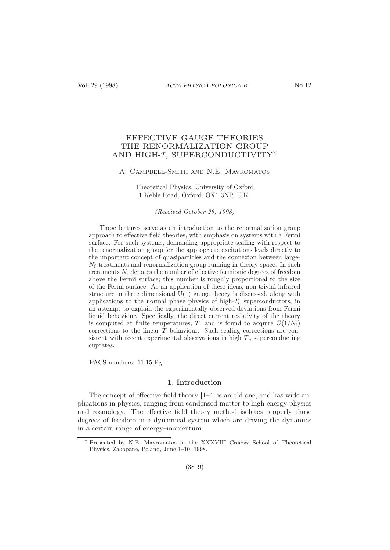# EFFECTIVE GAUGE THEORIES THE RENORMALIZATION GROUP AND HIGH- $T_c$  SUPERCONDUCTIVITY<sup>\*</sup>

## A. Campbell-Smith and N.E. Mavromatos

Theoretical Physics, University of Oxford 1 Keble Road, Oxford, OX1 3NP, U.K.

(Received October 26, 1998)

These lectures serve as an introduction to the renormalization group approach to effective field theories, with emphasis on systems with a Fermi surface. For such systems, demanding appropriate scaling with respect to the renormalization group for the appropriate excitations leads directly to the important concept of quasiparticles and the connexion between large- $N_f$  treatments and renormalization group running in theory space. In such treatments  $N_f$  denotes the number of effective fermionic degrees of freedom above the Fermi surface; this number is roughly proportional to the size of the Fermi surface. As an application of these ideas, non-trivial infrared structure in three dimensional U(1) gauge theory is discussed, along with applications to the normal phase physics of high- $T_c$  superconductors, in an attempt to explain the experimentally observed deviations from Fermi liquid behaviour. Specifically, the direct current resistivity of the theory is computed at finite temperatures, T, and is found to acquire  $\mathcal{O}(1/N_f)$ corrections to the linear T behaviour. Such scaling corrections are consistent with recent experimental observations in high  $T_c$  superconducting cuprates.

PACS numbers: 11.15.Pg

# 1. Introduction

The concept of effective field theory  $\left|1-4\right|$  is an old one, and has wide applications in physics, ranging from condensed matter to high energy physics and cosmology. The effective field theory method isolates properly those degrees of freedom in a dynamical system which are driving the dynamics in a certain range of energy–momentum.

Presented by N.E. Mavromatos at the XXXVIII Cracow School of Theoretical Physics, Zakopane, Poland, June 1–10, 1998.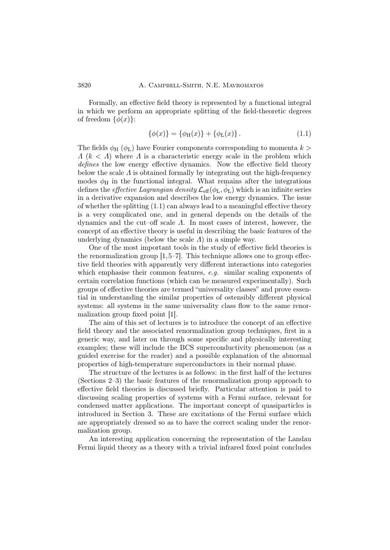Formally, an effective field theory is represented by a functional integral in which we perform an appropriate splitting of the field-theoretic degrees of freedom  $\{\phi(x)\}$ :

$$
\{\phi(x)\} = \{\phi_H(x)\} + \{\phi_L(x)\}.
$$
 (1.1)

The fields  $\phi_H$  ( $\phi_L$ ) have Fourier components corresponding to momenta  $k >$  $\Lambda$  ( $k < \Lambda$ ) where  $\Lambda$  is a characteristic energy scale in the problem which defines the low energy effective dynamics. Now the effective field theory below the scale  $\Lambda$  is obtained formally by integrating out the high-frequency modes  $\phi_H$  in the functional integral. What remains after the integrations defines the *effective Lagrangian density*  $\mathcal{L}_{eff}(\phi_L, \dot{\phi}_L)$  which is an infinite series in a derivative expansion and describes the low energy dynamics. The issue of whether the splitting  $(1.1)$  can always lead to a meaningful effective theory is a very complicated one, and in general depends on the details of the dynamics and the cut–off scale  $\Lambda$ . In most cases of interest, however, the concept of an effective theory is useful in describing the basic features of the underlying dynamics (below the scale  $\Lambda$ ) in a simple way.

One of the most important tools in the study of effective field theories is the renormalization group  $[1,5-7]$ . This technique allows one to group effective field theories with apparently very different interactions into categories which emphasise their common features, e.g. similar scaling exponents of certain correlation functions (which can be measured experimentally). Such groups of effective theories are termed "universality classes" and prove essential in understanding the similar properties of ostensibly different physical systems: all systems in the same universality class flow to the same renormalization group fixed point [1].

The aim of this set of lectures is to introduce the concept of an effective field theory and the associated renormalization group techniques, first in a generic way, and later on through some specific and physically interesting examples; these will include the BCS superconductivity phenomenon (as a guided exercise for the reader) and a possible explanation of the abnormal properties of high-temperature superconductors in their normal phase.

The structure of the lectures is as follows: in the first half of the lectures (Sections 2–3) the basic features of the renormalization group approach to effective field theories is discussed briefly. Particular attention is paid to discussing scaling properties of systems with a Fermi surface, relevant for condensed matter applications. The important concept of quasiparticles is introduced in Section 3. These are excitations of the Fermi surface which are appropriately dressed so as to have the correct scaling under the renormalization group.

An interesting application concerning the representation of the Landau Fermi liquid theory as a theory with a trivial infrared fixed point concludes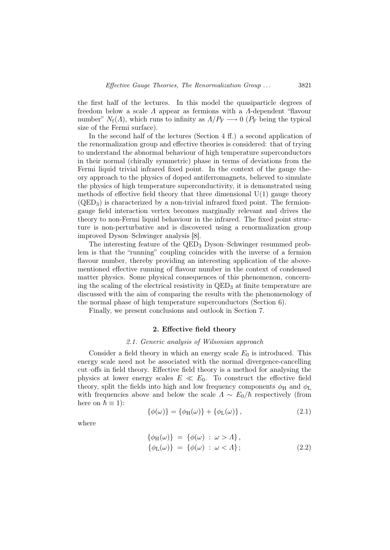the first half of the lectures. In this model the quasiparticle degrees of freedom below a scale Λ appear as fermions with a Λ-dependent "flavour number"  $N_f(\Lambda)$ , which runs to infinity as  $\Lambda/P_F \longrightarrow 0$  ( $P_F$  being the typical size of the Fermi surface).

In the second half of the lectures (Section 4 ff.) a second application of the renormalization group and effective theories is considered: that of trying to understand the abnormal behaviour of high temperature superconductors in their normal (chirally symmetric) phase in terms of deviations from the Fermi liquid trivial infrared fixed point. In the context of the gauge theory approach to the physics of doped antiferromagnets, believed to simulate the physics of high temperature superconductivity, it is demonstrated using methods of effective field theory that three dimensional  $U(1)$  gauge theory  $(QED<sub>3</sub>)$  is characterized by a non-trivial infrared fixed point. The fermiongauge field interaction vertex becomes marginally relevant and drives the theory to non-Fermi liquid behaviour in the infrared. The fixed point structure is non-perturbative and is discovered using a renormalization group improved Dyson–Schwinger analysis [8].

The interesting feature of the QED<sup>3</sup> Dyson–Schwinger resummed problem is that the "running" coupling coincides with the inverse of a fermion flavour number, thereby providing an interesting application of the abovementioned effective running of flavour number in the context of condensed matter physics. Some physical consequences of this phenomenon, concerning the scaling of the electrical resistivity in  $QED<sub>3</sub>$  at finite temperature are discussed with the aim of comparing the results with the phenomenology of the normal phase of high temperature superconductors (Section 6).

Finally, we present conclusions and outlook in Section 7.

## 2. Effective field theory

### 2.1. Generic analysis of Wilsonian approach

Consider a field theory in which an energy scale  $E_0$  is introduced. This energy scale need not be associated with the normal divergence-cancelling cut–offs in field theory. Effective field theory is a method for analysing the physics at lower energy scales  $E \ll E_0$ . To construct the effective field theory, split the fields into high and low frequency components  $\phi_H$  and  $\phi_L$ with frequencies above and below the scale  $\Lambda \sim E_0/\hbar$  respectively (from here on  $\hbar \equiv 1$ :

$$
\{\phi(\omega)\} = \{\phi_H(\omega)\} + \{\phi_L(\omega)\},\tag{2.1}
$$

where

$$
\begin{aligned}\n\{\phi_H(\omega)\} &= \{\phi(\omega) \,:\, \omega > \Lambda\}, \\
\{\phi_L(\omega)\} &= \{\phi(\omega) \,:\, \omega < \Lambda\};\n\end{aligned}\n\tag{2.2}
$$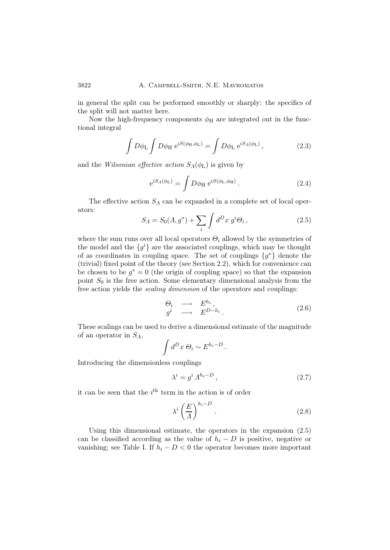in general the split can be performed smoothly or sharply: the specifics of the split will not matter here.

Now the high-frequency components  $\phi_H$  are integrated out in the functional integral

$$
\int D\phi_{\rm L} \int D\phi_{\rm H} e^{iS(\phi_{\rm H}, \phi_{\rm L})} = \int D\phi_{\rm L} e^{iS_A(\phi_{\rm L})}, \qquad (2.3)
$$

and the Wilsonian effective action  $S_A(\phi_L)$  is given by

$$
e^{iS_A(\phi_L)} = \int D\phi_H \, e^{iS(\phi_L, \phi_H)} \,. \tag{2.4}
$$

The effective action  $S_A$  can be expanded in a complete set of local operators:

$$
S_A = S_0(A, g^*) + \sum_{i} \int d^D x \ g^i \Theta_i \,, \tag{2.5}
$$

where the sum runs over all local operators  $\Theta_i$  allowed by the symmetries of the model and the  $\{g^i\}$  are the associated couplings, which may be thought of as coordinates in coupling space. The set of couplings  $\{g^*\}$  denote the (trivial) fixed point of the theory (see Section 2.2), which for convenience can be chosen to be  $g^* = 0$  (the origin of coupling space) so that the expansion point  $S_0$  is the free action. Some elementary dimensional analysis from the free action yields the scaling dimension of the operators and couplings:

$$
\begin{array}{ccc}\n\Theta_i & \longrightarrow & E^{h_i}, \\
g^i & \longrightarrow & E^{D-h_i}.\n\end{array} \tag{2.6}
$$

These scalings can be used to derive a dimensional estimate of the magnitude of an operator in  $S_A$ ,

$$
\int d^D x \,\Theta_i \sim E^{h_i - D}.
$$

Introducing the dimensionless couplings

$$
\lambda^i = g^i \Lambda^{h_i - D} \,, \tag{2.7}
$$

it can be seen that the  $i<sup>th</sup>$  term in the action is of order

$$
\lambda^i \left(\frac{E}{A}\right)^{h_i - D} \tag{2.8}
$$

Using this dimensional estimate, the operators in the expansion (2.5) can be classified according as the value of  $h_i - D$  is positive, negative or vanishing; see Table I. If  $h_i - D < 0$  the operator becomes more important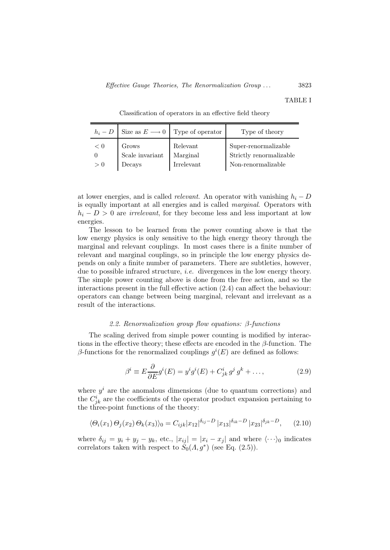#### TABLE I

| $h_i - D$ |                          | Size as $E \longrightarrow 0$ Type of operator | Type of theory                                  |
|-----------|--------------------------|------------------------------------------------|-------------------------------------------------|
| < 0       | Grows<br>Scale invariant | Relevant<br>Marginal                           | Super-renormalizable<br>Strictly renormalizable |
| > 0       | Decays                   | Irrelevant                                     | Non-renormalizable                              |

Classification of operators in an effective field theory

at lower energies, and is called *relevant*. An operator with vanishing  $h_i - D$ is equally important at all energies and is called marginal. Operators with  $h_i - D > 0$  are *irrelevant*, for they become less and less important at low energies.

The lesson to be learned from the power counting above is that the low energy physics is only sensitive to the high energy theory through the marginal and relevant couplings. In most cases there is a finite number of relevant and marginal couplings, so in principle the low energy physics depends on only a finite number of parameters. There are subtleties, however, due to possible infrared structure, *i.e.* divergences in the low energy theory. The simple power counting above is done from the free action, and so the interactions present in the full effective action (2.4) can affect the behaviour: operators can change between being marginal, relevant and irrelevant as a result of the interactions.

#### 2.2. Renormalization group flow equations: β-functions

The scaling derived from simple power counting is modified by interactions in the effective theory; these effects are encoded in the  $\beta$ -function. The β-functions for the renormalized couplings  $g<sup>i</sup>(E)$  are defined as follows:

$$
\beta^i \equiv E \frac{\partial}{\partial E} g^i(E) = y^i g^i(E) + C^i_{jk} g^j g^k + \dots,\tag{2.9}
$$

where  $y^i$  are the anomalous dimensions (due to quantum corrections) and the  $C_{jk}^{i}$  are the coefficients of the operator product expansion pertaining to the three-point functions of the theory:

$$
\langle \Theta_i(x_1) \Theta_j(x_2) \Theta_k(x_3) \rangle_0 = C_{ijk} |x_{12}|^{\delta_{ij} - D} |x_{13}|^{\delta_{ik} - D} |x_{23}|^{\delta_{jk} - D}, \quad (2.10)
$$

where  $\delta_{ij} = y_i + y_j - y_k$ , etc.,  $|x_{ij}| = |x_i - x_j|$  and where  $\langle \cdots \rangle_0$  indicates correlators taken with respect to  $S_0(A, g^*)$  (see Eq. (2.5)).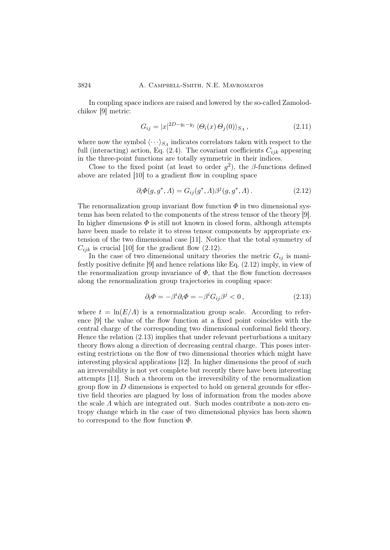In coupling space indices are raised and lowered by the so-called Zamolodchikov [9] metric:

$$
G_{ij} = |x|^{2D - y_i - y_j} \langle \Theta_i(x) \Theta_j(0) \rangle_{S_A}, \qquad (2.11)
$$

where now the symbol  $\langle \cdots \rangle_{S_A}$  indicates correlators taken with respect to the full (interacting) action, Eq. (2.4). The covariant coefficients  $C_{ijk}$  appearing in the three-point functions are totally symmetric in their indices.

Close to the fixed point (at least to order  $g^2$ ), the  $\beta$ -functions defined above are related [10] to a gradient flow in coupling space

$$
\partial_i \Phi(g, g^*, \Lambda) = G_{ij}(g^*, \Lambda) \beta^j(g, g^*, \Lambda).
$$
 (2.12)

The renormalization group invariant flow function  $\Phi$  in two dimensional systems has been related to the components of the stress tensor of the theory [9]. In higher dimensions  $\Phi$  is still not known in closed form, although attempts have been made to relate it to stress tensor components by appropriate extension of the two dimensional case [11]. Notice that the total symmetry of  $C_{ijk}$  is crucial [10] for the gradient flow (2.12).

In the case of two dimensional unitary theories the metric  $G_{ij}$  is manifestly positive definite [9] and hence relations like Eq. (2.12) imply, in view of the renormalization group invariance of  $\Phi$ , that the flow function decreases along the renormalization group trajectories in coupling space:

$$
\partial_t \Phi = -\beta^i \partial_i \Phi = -\beta^i G_{ij} \beta^j < 0 \,, \tag{2.13}
$$

where  $t = \ln(E/A)$  is a renormalization group scale. According to reference [9] the value of the flow function at a fixed point coincides with the central charge of the corresponding two dimensional conformal field theory. Hence the relation (2.13) implies that under relevant perturbations a unitary theory flows along a direction of decreasing central charge. This poses interesting restrictions on the flow of two dimensional theories which might have interesting physical applications [12]. In higher dimensions the proof of such an irreversibility is not yet complete but recently there have been interesting attempts [11]. Such a theorem on the irreversibility of the renormalization group flow in  $D$  dimensions is expected to hold on general grounds for effective field theories are plagued by loss of information from the modes above the scale Λ which are integrated out. Such modes contribute a non-zero entropy change which in the case of two dimensional physics has been shown to correspond to the flow function  $\Phi$ .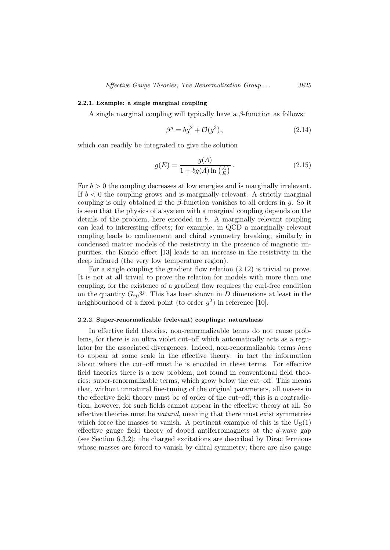# 2.2.1. Example: a single marginal coupling

A single marginal coupling will typically have a  $\beta$ -function as follows:

$$
\beta^g = bg^2 + \mathcal{O}(g^3),\tag{2.14}
$$

which can readily be integrated to give the solution

$$
g(E) = \frac{g(A)}{1 + bg(A) \ln\left(\frac{A}{E}\right)}.
$$
\n(2.15)

For  $b > 0$  the coupling decreases at low energies and is marginally irrelevant. If  $b < 0$  the coupling grows and is marginally relevant. A strictly marginal coupling is only obtained if the  $\beta$ -function vanishes to all orders in q. So it is seen that the physics of a system with a marginal coupling depends on the details of the problem, here encoded in b. A marginally relevant coupling can lead to interesting effects; for example, in QCD a marginally relevant coupling leads to confinement and chiral symmetry breaking; similarly in condensed matter models of the resistivity in the presence of magnetic impurities, the Kondo effect [13] leads to an increase in the resistivity in the deep infrared (the very low temperature region).

For a single coupling the gradient flow relation (2.12) is trivial to prove. It is not at all trivial to prove the relation for models with more than one coupling, for the existence of a gradient flow requires the curl-free condition on the quantity  $G_{ij}\beta^j$ . This has been shown in D dimensions at least in the neighbourhood of a fixed point (to order  $g^2$ ) in reference [10].

### 2.2.2. Super-renormalizable (relevant) couplings: naturalness

In effective field theories, non-renormalizable terms do not cause problems, for there is an ultra violet cut–off which automatically acts as a regulator for the associated divergences. Indeed, non-renormalizable terms have to appear at some scale in the effective theory: in fact the information about where the cut–off must lie is encoded in these terms. For effective field theories there is a new problem, not found in conventional field theories: super-renormalizable terms, which grow below the cut–off. This means that, without unnatural fine-tuning of the original parameters, all masses in the effective field theory must be of order of the cut–off; this is a contradiction, however, for such fields cannot appear in the effective theory at all. So effective theories must be natural, meaning that there must exist symmetries which force the masses to vanish. A pertinent example of this is the  $U_S(1)$ effective gauge field theory of doped antiferromagnets at the  $d$ -wave gap (see Section 6.3.2): the charged excitations are described by Dirac fermions whose masses are forced to vanish by chiral symmetry; there are also gauge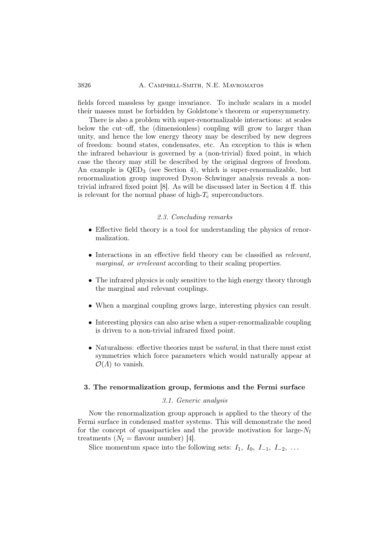## 3826 A. CAMPBELL-SMITH, N.E. MAVROMATOS

fields forced massless by gauge invariance. To include scalars in a model their masses must be forbidden by Goldstone's theorem or supersymmetry.

There is also a problem with super-renormalizable interactions: at scales below the cut–off, the (dimensionless) coupling will grow to larger than unity, and hence the low energy theory may be described by new degrees of freedom: bound states, condensates, etc. An exception to this is when the infrared behaviour is governed by a (non-trivial) fixed point, in which case the theory may still be described by the original degrees of freedom. An example is  $QED_3$  (see Section 4), which is super-renormalizable, but renormalization group improved Dyson–Schwinger analysis reveals a nontrivial infrared fixed point [8]. As will be discussed later in Section 4 ff. this is relevant for the normal phase of high- $T_c$  superconductors.

# 2.3. Concluding remarks

- Effective field theory is a tool for understanding the physics of renormalization.
- Interactions in an effective field theory can be classified as relevant, marginal, or irrelevant according to their scaling properties.
- The infrared physics is only sensitive to the high energy theory through the marginal and relevant couplings.
- When a marginal coupling grows large, interesting physics can result.
- Interesting physics can also arise when a super-renormalizable coupling is driven to a non-trivial infrared fixed point.
- Naturalness: effective theories must be *natural*, in that there must exist symmetries which force parameters which would naturally appear at  $\mathcal{O}(\Lambda)$  to vanish.

## 3. The renormalization group, fermions and the Fermi surface

#### 3.1. Generic analysis

Now the renormalization group approach is applied to the theory of the Fermi surface in condensed matter systems. This will demonstrate the need for the concept of quasiparticles and the provide motivation for large- $N_f$ treatments  $(N_f = \text{flavour number})$  [4].

Slice momentum space into the following sets:  $I_1$ ,  $I_0$ ,  $I_{-1}$ ,  $I_{-2}$ , ...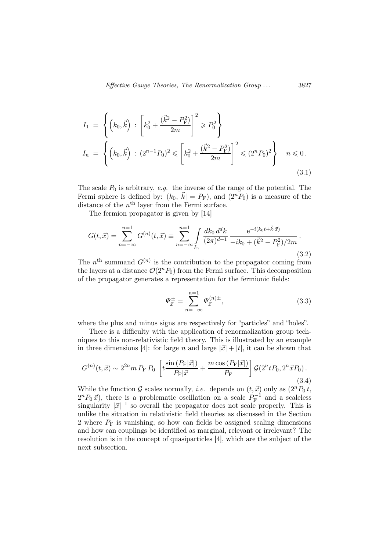$$
I_1 = \left\{ \left( k_0, \vec{k} \right) : \left[ k_0^2 + \frac{(\vec{k}^2 - P_{\rm F}^2)}{2m} \right]^2 \ge P_0^2 \right\}
$$
  
\n
$$
I_n = \left\{ \left( k_0, \vec{k} \right) : (2^{n-1}P_0)^2 \le \left[ k_0^2 + \frac{(\vec{k}^2 - P_{\rm F}^2)}{2m} \right]^2 \le (2^n P_0)^2 \right\} \quad n \le 0.
$$
  
\n(3.1)

The scale  $P_0$  is arbitrary, e.g. the inverse of the range of the potential. The Fermi sphere is defined by:  $(k_0, |\vec{k}| = P_F)$ , and  $(2^n P_0)$  is a measure of the distance of the  $n<sup>th</sup>$  layer from the Fermi surface.

The fermion propagator is given by [14]

$$
G(t,\vec{x}) = \sum_{n=-\infty}^{n=1} G^{(n)}(t,\vec{x}) \equiv \sum_{n=-\infty}^{n=1} \int_{I_n} \frac{dk_0 \, d^d k}{(2\pi)^{d+1}} \frac{e^{-i(k_0 t + \vec{k}\cdot\vec{x})}}{-ik_0 + (\vec{k}^2 - P_{\rm F}^2)/2m}.
$$
\n(3.2)

The  $n<sup>th</sup>$  summand  $G<sup>(n)</sup>$  is the contribution to the propagator coming from the layers at a distance  $\mathcal{O}(2^n P_0)$  from the Fermi surface. This decomposition of the propagator generates a representation for the fermionic fields:

$$
\Psi_{\vec{x}}^{\pm} = \sum_{n=-\infty}^{n=1} \Psi_{\vec{x}}^{(n)\pm},\tag{3.3}
$$

where the plus and minus signs are respectively for "particles" and "holes".

There is a difficulty with the application of renormalization group techniques to this non-relativistic field theory. This is illustrated by an example in three dimensions [4]: for large n and large  $|\vec{x}| + |t|$ , it can be shown that

$$
G^{(n)}(t,\vec{x}) \sim 2^{2n} m \, P_{\rm F} \, P_0 \, \left[ t \frac{\sin \left( P_{\rm F} |\vec{x}|\right)}{P_{\rm F} |\vec{x}|} + \frac{m \cos \left( P_{\rm F} |\vec{x}|\right)}{P_{\rm F}} \right] \mathcal{G}(2^n t P_0, 2^n \vec{x} P_0) \,. \tag{3.4}
$$

While the function G scales normally, *i.e.* depends on  $(t, \vec{x})$  only as  $(2^n P_0 t,$  $2^{n}P_0\vec{x}$ , there is a problematic oscillation on a scale  $P_{\rm F}^{-1}$  and a scaleless singularity  $|\vec{x}|^{-1}$  so overall the propagator does not scale properly. This is unlike the situation in relativistic field theories as discussed in the Section 2 where  $P_F$  is vanishing; so how can fields be assigned scaling dimensions and how can couplings be identified as marginal, relevant or irrelevant? The resolution is in the concept of quasiparticles [4], which are the subject of the next subsection.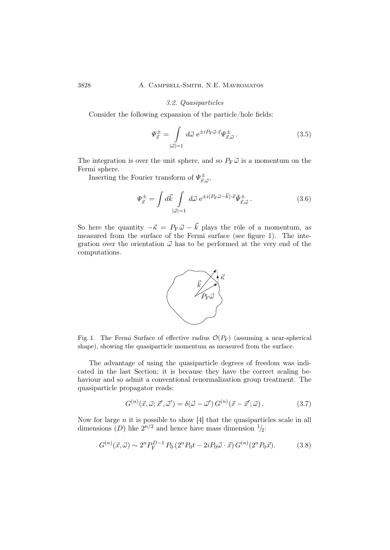## 3.2. Quasiparticles

Consider the following expansion of the particle/hole fields:

$$
\Psi_{\vec{x}}^{\pm} = \int \limits_{|\vec{\omega}|=1} d\vec{\omega} \ e^{\pm i P_{\rm F} \vec{\omega} \cdot \vec{x}} \Psi_{\vec{x},\vec{\omega}}^{\pm} . \tag{3.5}
$$

The integration is over the unit sphere, and so  $P_F \vec{\omega}$  is a momentum on the Fermi sphere.

Inserting the Fourier transform of  $\Psi^{\pm}_{\vec{x}, \vec{\omega}}$ ,

$$
\Psi_{\vec{x}}^{\pm} = \int d\vec{k} \int \limits_{|\vec{\omega}|=1} d\vec{\omega} \ e^{\pm i(P_{\rm F}\vec{\omega} - \vec{k}) \cdot \vec{x}} \tilde{\Psi}_{\vec{x},\vec{\omega}}^{\pm} . \tag{3.6}
$$

So here the quantity  $-\vec{\kappa} = P_{\text{F}} \vec{\omega} - \vec{k}$  plays the rôle of a momentum, as measured from the surface of the Fermi surface (see figure 1). The integration over the orientation  $\vec{\omega}$  has to be performed at the very end of the computations.



Fig. 1. The Fermi Surface of effective radius  $\mathcal{O}(P_F)$  (assuming a near-spherical shape), showing the quasiparticle momentum as measured from the surface.

The advantage of using the quasiparticle degrees of freedom was indicated in the last Section; it is because they have the correct scaling behaviour and so admit a conventional renormalization group treatment. The quasiparticle propagator reads:

$$
G^{(n)}(\vec{x}, \vec{\omega}; \vec{x}', \vec{\omega}') = \delta(\vec{\omega} - \vec{\omega}') G^{(n)}(\vec{x} - \vec{x}'; \vec{\omega}). \tag{3.7}
$$

Now for large  $n$  it is possible to show  $[4]$  that the quasiparticles scale in all dimensions (D) like  $2^{n/2}$  and hence have mass dimension  $\frac{1}{2}$ :

$$
G^{(n)}(\vec{x}, \vec{\omega}) \sim 2^n P_{\mathcal{F}}^{D-1} P_0 \left( 2^n P_0 t - 2i P_0 \vec{\omega} \cdot \vec{x} \right) G^{(n)}(2^n P_0 \vec{x}). \tag{3.8}
$$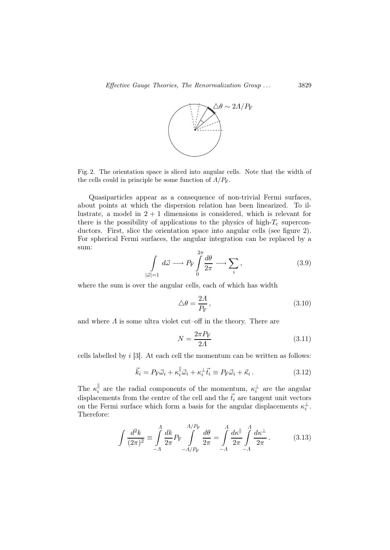

Fig. 2. The orientation space is sliced into angular cells. Note that the width of the cells could in principle be some function of  $\Lambda/P_F$ .

Quasiparticles appear as a consequence of non-trivial Fermi surfaces, about points at which the dispersion relation has been linearized. To illustrate, a model in  $2 + 1$  dimensions is considered, which is relevant for there is the possibility of applications to the physics of high- $T_c$  superconductors. First, slice the orientation space into angular cells (see figure 2). For spherical Fermi surfaces, the angular integration can be replaced by a sum:

$$
\int_{|\vec{\omega}|=1} d\vec{\omega} \longrightarrow P_{\text{F}} \int_{0}^{2\pi} \frac{d\theta}{2\pi} \longrightarrow \sum_{i}, \qquad (3.9)
$$

where the sum is over the angular cells, each of which has width

$$
\triangle \theta = \frac{2A}{P_{\rm F}},\tag{3.10}
$$

and where  $\Lambda$  is some ultra violet cut–off in the theory. There are

$$
N = \frac{2\pi P_{\rm F}}{2\Lambda} \tag{3.11}
$$

cells labelled by i [3]. At each cell the momentum can be written as follows:

$$
\vec{k}_i = P_{\rm F} \vec{\omega}_i + \kappa_i^{\parallel} \vec{\omega}_i + \kappa_i^{\perp} \vec{t}_i \equiv P_{\rm F} \vec{\omega}_i + \vec{\kappa}_i \,. \tag{3.12}
$$

The  $\kappa_i^{\parallel}$  are the radial components of the momentum,  $\kappa_i^{\perp}$  are the angular displacements from the centre of the cell and the  $\vec{t_i}$  are tangent unit vectors on the Fermi surface which form a basis for the angular displacements  $\kappa_i^{\perp}$ . Therefore:

$$
\int \frac{d^2 k}{(2\pi)^2} \equiv \int_{-A}^{A} \frac{dk}{2\pi} P_{\rm F} \int_{-A/P_{\rm F}}^{A/P_{\rm F}} \frac{d\theta}{2\pi} = \int_{-A}^{A} \frac{d\kappa^{\parallel}}{2\pi} \int_{-A}^{A} \frac{d\kappa^{\perp}}{2\pi}.
$$
 (3.13)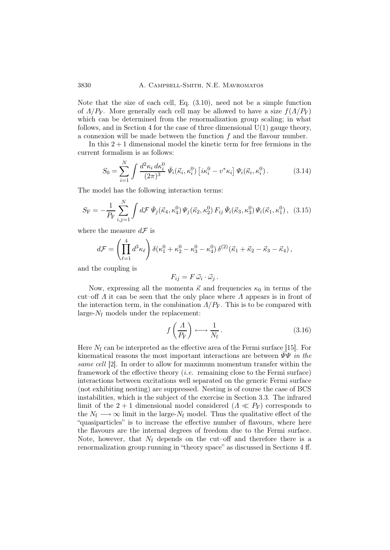Note that the size of each cell, Eq. (3.10), need not be a simple function of  $\Lambda/P_F$ . More generally each cell may be allowed to have a size  $f(\Lambda/P_F)$ which can be determined from the renormalization group scaling; in what follows, and in Section 4 for the case of three dimensional  $U(1)$  gauge theory, a connexion will be made between the function  $f$  and the flavour number.

In this  $2+1$  dimensional model the kinetic term for free fermions in the current formalism is as follows:

$$
S_0 = \sum_{i=1}^{N} \int \frac{d^2 \kappa_i d\kappa_i^0}{(2\pi)^3} \,\bar{\Psi}_i(\vec{\kappa}_i, \kappa_i^0) \left[ i\kappa_i^0 - v^* \kappa_i \right] \Psi_i(\vec{\kappa}_i, \kappa_i^0). \tag{3.14}
$$

The model has the following interaction terms:

$$
S_{\rm F} = -\frac{1}{P_{\rm F}} \sum_{i,j=1}^{N} \int d\mathcal{F} \,\bar{\Psi}_j(\vec{\kappa}_4, \kappa_4^0) \,\Psi_j(\vec{\kappa}_2, \kappa_2^0) \, F_{ij} \,\bar{\Psi}_i(\vec{\kappa}_3, \kappa_3^0) \,\Psi_i(\vec{\kappa}_1, \kappa_1^0) \,, \tag{3.15}
$$

where the measure  $d\mathcal{F}$  is

 $\ddot{\phantom{a}}$ 

$$
d\mathcal{F} = \left(\prod_{\ell=1}^4 d^3 \kappa_\ell\right) \delta(\kappa_1^0 + \kappa_2^0 - \kappa_3^0 - \kappa_4^0) \,\delta^{(2)}(\vec{\kappa}_1 + \vec{\kappa}_2 - \vec{\kappa}_3 - \vec{\kappa}_4),
$$

and the coupling is

$$
F_{ij} = F \, \vec{\omega}_i \cdot \vec{\omega}_j \, .
$$

Now, expressing all the momenta  $\vec{\kappa}$  and frequencies  $\kappa_0$  in terms of the cut–off  $\Lambda$  it can be seen that the only place where  $\Lambda$  appears is in front of the interaction term, in the combination  $\Lambda/P_F$ . This is to be compared with large- $N_f$  models under the replacement:

$$
f\left(\frac{\Lambda}{P_{\rm F}}\right) \longleftrightarrow \frac{1}{N_{\rm f}}.\tag{3.16}
$$

Here  $N_f$  can be interpreted as the effective area of the Fermi surface [15]. For kinematical reasons the most important interactions are between  $\Psi\Psi$  in the same cell [2]. In order to allow for maximum momentum transfer within the framework of the effective theory (*i.e.* remaining close to the Fermi surface) interactions between excitations well separated on the generic Fermi surface (not exhibiting nesting) are suppressed. Nesting is of course the case of BCS instabilities, which is the subject of the exercise in Section 3.3. The infrared limit of the 2 + 1 dimensional model considered  $(A \ll P_F)$  corresponds to the  $N_f \longrightarrow \infty$  limit in the large- $N_f$  model. Thus the qualitative effect of the "quasiparticles" is to increase the effective number of flavours, where here the flavours are the internal degrees of freedom due to the Fermi surface. Note, however, that  $N_f$  depends on the cut–off and therefore there is a renormalization group running in "theory space" as discussed in Sections 4 ff.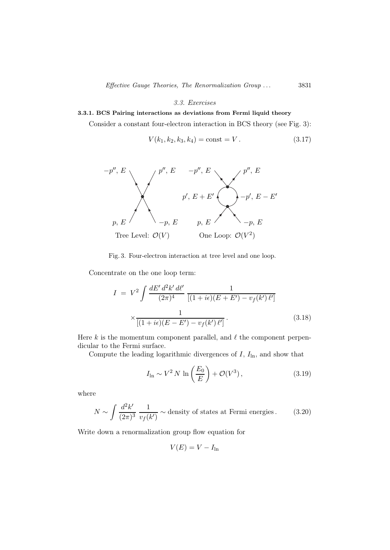#### 3.3. Exercises

# 3.3.1. BCS Pairing interactions as deviations from Fermi liquid theory

Consider a constant four-electron interaction in BCS theory (see Fig. 3):

$$
V(k_1, k_2, k_3, k_4) = \text{const} = V.
$$
 (3.17)



Fig. 3. Four-electron interaction at tree level and one loop.

Concentrate on the one loop term:

$$
I = V^{2} \int \frac{dE' d^{2}k' d\ell'}{(2\pi)^{4}} \frac{1}{[(1 + i\epsilon)(E + E') - v_{f}(k')\ell']}
$$

$$
\times \frac{1}{[(1 + i\epsilon)(E - E') - v_{f}(k')\ell']}.
$$
(3.18)

Here  $k$  is the momentum component parallel, and  $\ell$  the component perpendicular to the Fermi surface.

Compute the leading logarithmic divergences of  $I, I<sub>ln</sub>$ , and show that

$$
I_{\ln} \sim V^2 N \ln\left(\frac{E_0}{E}\right) + \mathcal{O}(V^3),\tag{3.19}
$$

where

$$
N \sim \int \frac{d^2 k'}{(2\pi)^3} \frac{1}{v_f(k')} \sim \text{density of states at Fermi energies.} \tag{3.20}
$$

Write down a renormalization group flow equation for

$$
V(E) = V - I_{\ln}
$$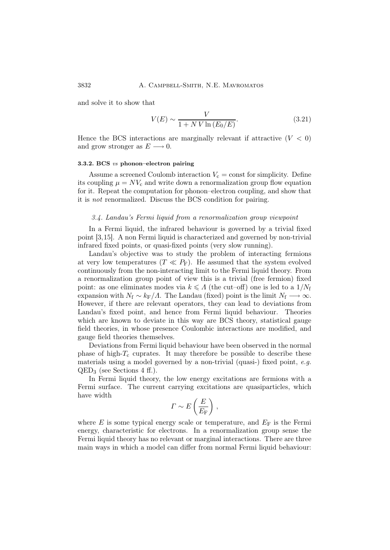and solve it to show that

$$
V(E) \sim \frac{V}{1 + NV \ln(E_0/E)}.\tag{3.21}
$$

Hence the BCS interactions are marginally relevant if attractive  $(V < 0)$ and grow stronger as  $E \longrightarrow 0$ .

### 3.3.2. BCS vs phonon–electron pairing

Assume a screened Coulomb interaction  $V_c = \text{const}$  for simplicity. Define its coupling  $\mu = NV_c$  and write down a renormalization group flow equation for it. Repeat the computation for phonon–electron coupling, and show that it is not renormalized. Discuss the BCS condition for pairing.

# 3.4. Landau's Fermi liquid from a renormalization group viewpoint

In a Fermi liquid, the infrared behaviour is governed by a trivial fixed point [3,15]. A non Fermi liquid is characterized and governed by non-trivial infrared fixed points, or quasi-fixed points (very slow running).

Landau's objective was to study the problem of interacting fermions at very low temperatures ( $T \ll P_F$ ). He assumed that the system evolved continuously from the non-interacting limit to the Fermi liquid theory. From a renormalization group point of view this is a trivial (free fermion) fixed point: as one eliminates modes via  $k \leq \Lambda$  (the cut–off) one is led to a  $1/N_f$ expansion with  $N_f \sim k_F/\Lambda$ . The Landau (fixed) point is the limit  $N_f \longrightarrow \infty$ . However, if there are relevant operators, they can lead to deviations from Landau's fixed point, and hence from Fermi liquid behaviour. Theories which are known to deviate in this way are BCS theory, statistical gauge field theories, in whose presence Coulombic interactions are modified, and gauge field theories themselves.

Deviations from Fermi liquid behaviour have been observed in the normal phase of high- $T_c$  cuprates. It may therefore be possible to describe these materials using a model governed by a non-trivial (quasi-) fixed point,  $e.g.$  $QED_3$  (see Sections 4 ff.).

In Fermi liquid theory, the low energy excitations are fermions with a Fermi surface. The current carrying excitations are quasiparticles, which have width

$$
\Gamma \sim E\left(\frac{E}{E_{\rm F}}\right)\,,
$$

where E is some typical energy scale or temperature, and  $E_F$  is the Fermi energy, characteristic for electrons. In a renormalization group sense the Fermi liquid theory has no relevant or marginal interactions. There are three main ways in which a model can differ from normal Fermi liquid behaviour: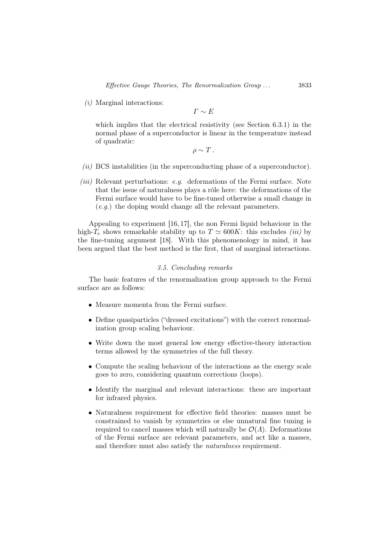$(i)$  Marginal interactions:

 $\Gamma \sim E$ 

which implies that the electrical resistivity (see Section 6.3.1) in the normal phase of a superconductor is linear in the temperature instead of quadratic:

$$
\rho \sim T\,.
$$

- (ii) BCS instabilities (in the superconducting phase of a superconductor).
- (iii) Relevant perturbations: e.g. deformations of the Fermi surface. Note that the issue of naturalness plays a rôle here: the deformations of the Fermi surface would have to be fine-tuned otherwise a small change in (e.g.) the doping would change all the relevant parameters.

Appealing to experiment [16, 17], the non Fermi liquid behaviour in the high- $T_c$  shows remarkable stability up to  $T \simeq 600K$ : this excludes *(iii)* by the fine-tuning argument [18]. With this phenomenology in mind, it has been argued that the best method is the first, that of marginal interactions.

# 3.5. Concluding remarks

The basic features of the renormalization group approach to the Fermi surface are as follows:

- Measure momenta from the Fermi surface.
- Define quasiparticles ("dressed excitations") with the correct renormalization group scaling behaviour.
- Write down the most general low energy effective-theory interaction terms allowed by the symmetries of the full theory.
- Compute the scaling behaviour of the interactions as the energy scale goes to zero, considering quantum corrections (loops).
- Identify the marginal and relevant interactions: these are important for infrared physics.
- Naturalness requirement for effective field theories: masses must be constrained to vanish by symmetries or else unnatural fine tuning is required to cancel masses which will naturally be  $\mathcal{O}(\Lambda)$ . Deformations of the Fermi surface are relevant parameters, and act like a masses, and therefore must also satisfy the naturalness requirement.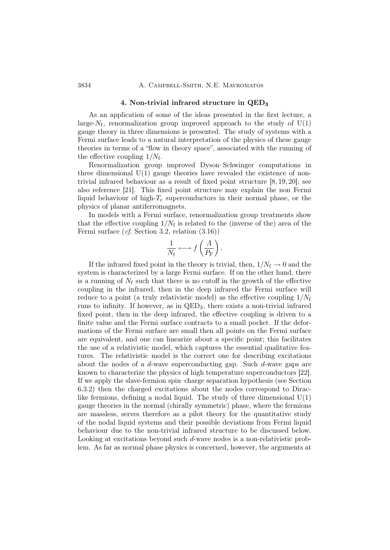#### 4. Non-trivial infrared structure in QED<sub>3</sub>

As an application of some of the ideas presented in the first lecture, a large- $N_f$ , renormalization group improved approach to the study of  $U(1)$ gauge theory in three dimensions is presented. The study of systems with a Fermi surface leads to a natural interpretation of the physics of these gauge theories in terms of a "flow in theory space", associated with the running of the effective coupling  $1/N_f$ .

Renormalization group improved Dyson–Schwinger computations in three dimensional  $U(1)$  gauge theories have revealed the existence of nontrivial infrared behaviour as a result of fixed point structure [8, 19, 20]; see also reference [21]. This fixed point structure may explain the non Fermi liquid behaviour of high- $T_c$  superconductors in their normal phase, or the physics of planar antiferromagnets.

In models with a Fermi surface, renormalization group treatments show that the effective coupling  $1/N_f$  is related to the (inverse of the) area of the Fermi surface (cf. Section 3.2, relation (3.16))

$$
\frac{1}{N_{\rm f}} \longleftrightarrow f\left(\frac{\varLambda}{P_{\rm F}}\right).
$$

If the infrared fixed point in the theory is trivial, then,  $1/N_f \rightarrow 0$  and the system is characterized by a large Fermi surface. If on the other hand, there is a running of  $N_f$  such that there is no cutoff in the growth of the effective coupling in the infrared, then in the deep infrared the Fermi surface will reduce to a point (a truly relativistic model) as the effective coupling  $1/N_f$ runs to infinity. If however, as in QED3, there exists a non-trivial infrared fixed point, then in the deep infrared, the effective coupling is driven to a finite value and the Fermi surface contracts to a small pocket. If the deformations of the Fermi surface are small then all points on the Fermi surface are equivalent, and one can linearize about a specific point; this facilitates the use of a relativistic model, which captures the essential qualitative features. The relativistic model is the correct one for describing excitations about the nodes of a d-wave superconducting gap. Such d-wave gaps are known to characterize the physics of high temperature superconductors [22]. If we apply the slave-fermion spin–charge separation hypothesis (see Section 6.3.2) then the charged excitations about the nodes correspond to Diraclike fermions, defining a nodal liquid. The study of three dimensional  $U(1)$ gauge theories in the normal (chirally symmetric) phase, where the fermions are massless, serves therefore as a pilot theory for the quantitative study of the nodal liquid systems and their possible deviations from Fermi liquid behaviour due to the non-trivial infrared structure to be discussed below. Looking at excitations beyond such d-wave nodes is a non-relativistic problem. As far as normal phase physics is concerned, however, the arguments at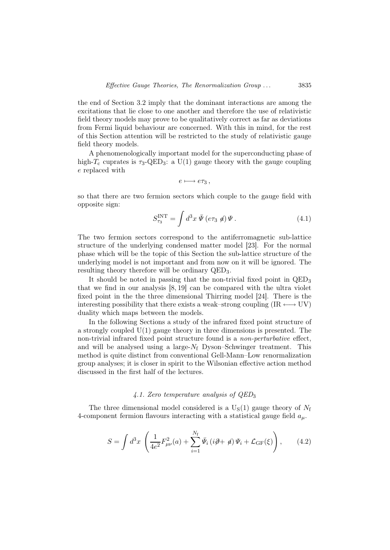the end of Section 3.2 imply that the dominant interactions are among the excitations that lie close to one another and therefore the use of relativistic field theory models may prove to be qualitatively correct as far as deviations from Fermi liquid behaviour are concerned. With this in mind, for the rest of this Section attention will be restricted to the study of relativistic gauge field theory models.

A phenomenologically important model for the superconducting phase of high- $T_c$  cuprates is  $\tau_3$ -QED<sub>3</sub>: a U(1) gauge theory with the gauge coupling e replaced with

$$
e\longmapsto e\tau_3\,,
$$

so that there are two fermion sectors which couple to the gauge field with opposite sign:

$$
S_{\tau_3}^{\rm INT} = \int d^3x \,\bar{\Psi} \left( e\tau_3 \not q \right) \Psi \,. \tag{4.1}
$$

The two fermion sectors correspond to the antiferromagnetic sub-lattice structure of the underlying condensed matter model [23]. For the normal phase which will be the topic of this Section the sub-lattice structure of the underlying model is not important and from now on it will be ignored. The resulting theory therefore will be ordinary QED3.

It should be noted in passing that the non-trivial fixed point in QED<sup>3</sup> that we find in our analysis [8, 19] can be compared with the ultra violet fixed point in the the three dimensional Thirring model [24]. There is the interesting possibility that there exists a weak–strong coupling (IR  $\longleftrightarrow$  UV) duality which maps between the models.

In the following Sections a study of the infrared fixed point structure of a strongly coupled U(1) gauge theory in three dimensions is presented. The non-trivial infrared fixed point structure found is a non-perturbative effect, and will be analysed using a large- $N_f$  Dyson–Schwinger treatment. This method is quite distinct from conventional Gell-Mann–Low renormalization group analyses; it is closer in spirit to the Wilsonian effective action method discussed in the first half of the lectures.

#### 4.1. Zero temperature analysis of  $QED<sub>3</sub>$

The three dimensional model considered is a  $U_S(1)$  gauge theory of  $N_f$ 4-component fermion flavours interacting with a statistical gauge field  $a_{\mu}$ .

$$
S = \int d^3x \left( \frac{1}{4e^2} F_{\mu\nu}^2(a) + \sum_{i=1}^{N_{\rm f}} \bar{\Psi}_i \left( i\partial + \phi \right) \Psi_i + \mathcal{L}_{\rm GF}(\xi) \right), \qquad (4.2)
$$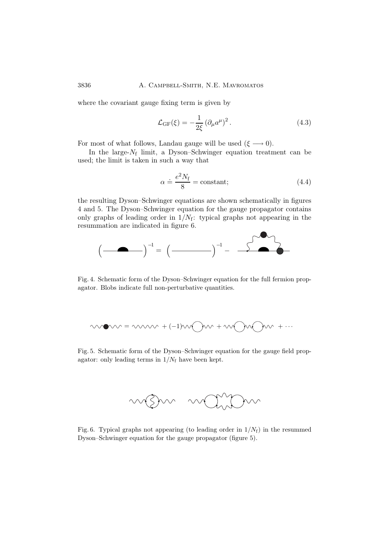where the covariant gauge fixing term is given by

$$
\mathcal{L}_{GF}(\xi) = -\frac{1}{2\xi} \left(\partial_{\mu} a^{\mu}\right)^2. \tag{4.3}
$$

For most of what follows, Landau gauge will be used  $(\xi \longrightarrow 0)$ .

In the large- $N_f$  limit, a Dyson–Schwinger equation treatment can be used; the limit is taken in such a way that

$$
\alpha \doteq \frac{e^2 N_{\rm f}}{8} = \text{constant};\tag{4.4}
$$

the resulting Dyson–Schwinger equations are shown schematically in figures 4 and 5. The Dyson–Schwinger equation for the gauge propagator contains only graphs of leading order in  $1/N_f$ : typical graphs not appearing in the resummation are indicated in figure 6.



Fig. 4. Schematic form of the Dyson–Schwinger equation for the full fermion propagator. Blobs indicate full non-perturbative quantities.

$$
\mathsf{SUSY} = \mathsf{SUSY} + (-1)\mathsf{SUSY} + \mathsf{SUSY} + \mathsf{SUSY} + \mathsf{SUSY} + \mathsf{SUSY} + \mathsf{SUSY} + \mathsf{SUSY} + \mathsf{SUSY} + \mathsf{SUSY} + \mathsf{SUSY} + \mathsf{SUSY} + \mathsf{SUSY} + \mathsf{SUSY} + \mathsf{SUSY} + \mathsf{SUSY} + \mathsf{SUSY} + \mathsf{SUSY} + \mathsf{SUSY} + \mathsf{SUSY} + \mathsf{SUSY} + \mathsf{SUSY} + \mathsf{SUSY} + \mathsf{SUSY} + \mathsf{SUSY} + \mathsf{SUSY} + \mathsf{SUSY} + \mathsf{SUSY} + \mathsf{SUSY} + \mathsf{SUSY} + \mathsf{SUSY} + \mathsf{SUSY} + \mathsf{SUSY} + \mathsf{SUSY} + \mathsf{SUSY} + \mathsf{SUSY} + \mathsf{SUSY} + \mathsf{SUSY} + \mathsf{SUSY} + \mathsf{SUSY} + \mathsf{SUSY} + \mathsf{SUSY} + \mathsf{SUSY} + \mathsf{SUSY} + \mathsf{SUSY} + \mathsf{SUSY} + \mathsf{SUSY} + \mathsf{SUSY} + \mathsf{SUSY} + \mathsf{SUSY} + \mathsf{SUSY} + \mathsf{SUSY} + \mathsf{SUSY} + \mathsf{SUSY} + \mathsf{SUSY} + \mathsf{SUSY} + \mathsf{SUSY} + \mathsf{SUSY} + \mathsf{SUSY} + \mathsf{SUSY} + \mathsf{SUSY} + \mathsf{SUSY} + \mathsf{SUSY} + \mathsf{SUSY} + \mathsf{SUSY} + \mathsf{SUSY} + \mathsf{SUSY} + \mathsf{SUSY} + \mathsf{SUSY} + \mathsf{SUSY} + \mathsf{SUSY} + \mathsf{SUSY} + \mathsf{SUSY} + \mathsf{SUSY} + \mathsf{SUSY} + \mathsf{SUSY} + \mathsf{SUSY} + \mathsf{SUSY} + \mathsf{SUSY} + \mathsf{SUSY} + \mathsf{SUSY} + \mathsf{SUSY} + \mathsf{SUSY} + \math
$$

Fig. 5. Schematic form of the Dyson–Schwinger equation for the gauge field propagator: only leading terms in  $1/N_f$  have been kept.



Fig. 6. Typical graphs not appearing (to leading order in  $1/N_f$ ) in the resummed Dyson–Schwinger equation for the gauge propagator (figure 5).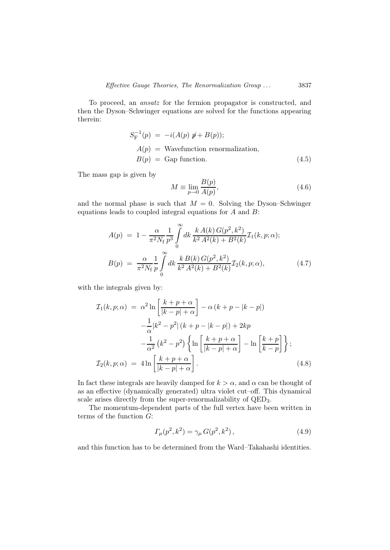To proceed, an ansatz for the fermion propagator is constructed, and then the Dyson–Schwinger equations are solved for the functions appearing therein:

$$
S_{\mathcal{F}}^{-1}(p) = -i(A(p) \not{p} + B(p));
$$
  
\n
$$
A(p) = \text{Wavefunction renormalization},
$$
  
\n
$$
B(p) = \text{Gap function}. \tag{4.5}
$$

The mass gap is given by

$$
M \equiv \lim_{p \to 0} \frac{B(p)}{A(p)},\tag{4.6}
$$

and the normal phase is such that  $M = 0$ . Solving the Dyson–Schwinger equations leads to coupled integral equations for  $A$  and  $B$ :

$$
A(p) = 1 - \frac{\alpha}{\pi^2 N_f} \frac{1}{p^3} \int_0^\infty dk \, \frac{k A(k) G(p^2, k^2)}{k^2 A^2(k) + B^2(k)} \mathcal{I}_1(k, p; \alpha);
$$
  

$$
B(p) = \frac{\alpha}{\pi^2 N_f} \frac{1}{p} \int_0^\infty dk \, \frac{k B(k) G(p^2, k^2)}{k^2 A^2(k) + B^2(k)} \mathcal{I}_2(k, p; \alpha), \tag{4.7}
$$

with the integrals given by:

$$
\mathcal{I}_1(k, p; \alpha) = \alpha^2 \ln \left[ \frac{k+p+\alpha}{|k-p|+\alpha} \right] - \alpha (k+p-|k-p|)
$$

$$
-\frac{1}{\alpha} |k^2 - p^2| (k+p-|k-p|) + 2kp
$$

$$
-\frac{1}{\alpha^2} (k^2 - p^2) \left\{ \ln \left[ \frac{k+p+\alpha}{|k-p|+\alpha} \right] - \ln \left[ \frac{k+p}{k-p} \right] \right\};
$$

$$
\mathcal{I}_2(k, p; \alpha) = 4 \ln \left[ \frac{k+p+\alpha}{|k-p|+\alpha} \right].
$$
(4.8)

In fact these integrals are heavily damped for  $k > \alpha$ , and  $\alpha$  can be thought of as an effective (dynamically generated) ultra violet cut–off. This dynamical scale arises directly from the super-renormalizability of QED3.

The momentum-dependent parts of the full vertex have been written in terms of the function  $G$ :

$$
\Gamma_{\mu}(p^2, k^2) = \gamma_{\mu} G(p^2, k^2), \qquad (4.9)
$$

and this function has to be determined from the Ward–Takahashi identities.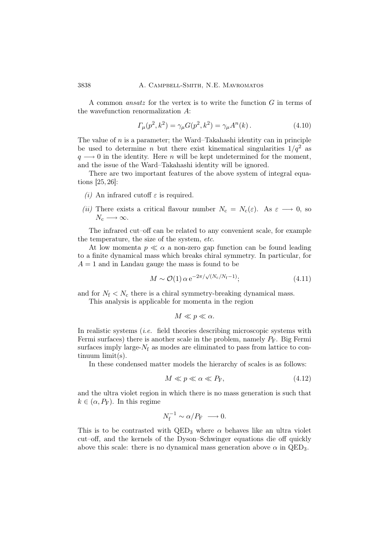A common ansatz for the vertex is to write the function G in terms of the wavefunction renormalization A:

$$
\Gamma_{\mu}(p^2, k^2) = \gamma_{\mu} G(p^2, k^2) = \gamma_{\mu} A^n(k). \qquad (4.10)
$$

The value of  $n$  is a parameter; the Ward–Takahashi identity can in principle be used to determine *n* but there exist kinematical singularities  $1/q^2$  as  $q \rightarrow 0$  in the identity. Here *n* will be kept undetermined for the moment, and the issue of the Ward–Takahashi identity will be ignored.

There are two important features of the above system of integral equations [25, 26]:

- (i) An infrared cutoff  $\varepsilon$  is required.
- (ii) There exists a critical flavour number  $N_c = N_c(\varepsilon)$ . As  $\varepsilon \longrightarrow 0$ , so  $N_c \longrightarrow \infty$ .

The infrared cut–off can be related to any convenient scale, for example the temperature, the size of the system, etc.

At low momenta  $p \ll \alpha$  a non-zero gap function can be found leading to a finite dynamical mass which breaks chiral symmetry. In particular, for  $A = 1$  and in Landau gauge the mass is found to be

$$
M \sim \mathcal{O}(1) \alpha \,\mathrm{e}^{-2\pi/\sqrt{(N_c/N_f - 1)}};\tag{4.11}
$$

and for  $N_f < N_c$  there is a chiral symmetry-breaking dynamical mass.

This analysis is applicable for momenta in the region

$$
M \ll p \ll \alpha.
$$

In realistic systems (i.e. field theories describing microscopic systems with Fermi surfaces) there is another scale in the problem, namely  $P_F$ . Big Fermi surfaces imply large- $N_f$  as modes are eliminated to pass from lattice to continuum limit(s).

In these condensed matter models the hierarchy of scales is as follows:

$$
M \ll p \ll \alpha \ll P_{\rm F},\tag{4.12}
$$

and the ultra violet region in which there is no mass generation is such that  $k \in (\alpha, P_{\text{F}})$ . In this regime

$$
N_{\rm f}^{-1} \sim \alpha/P_{\rm F} \longrightarrow 0.
$$

This is to be contrasted with  $QED_3$  where  $\alpha$  behaves like an ultra violet cut–off, and the kernels of the Dyson–Schwinger equations die off quickly above this scale: there is no dynamical mass generation above  $\alpha$  in QED<sub>3</sub>.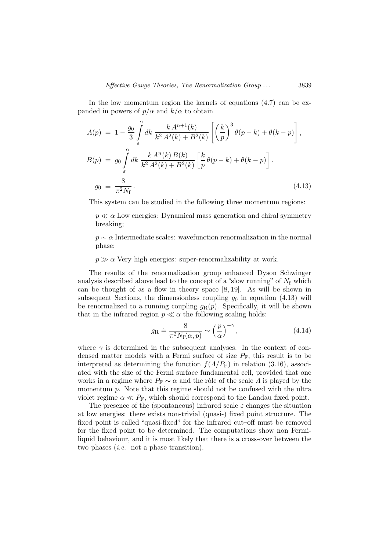In the low momentum region the kernels of equations  $(4.7)$  can be expanded in powers of  $p/\alpha$  and  $k/\alpha$  to obtain

$$
A(p) = 1 - \frac{g_0}{3} \int_{\varepsilon}^{\alpha} dk \frac{k A^{n+1}(k)}{k^2 A^2(k) + B^2(k)} \left[ \left( \frac{k}{p} \right)^3 \theta(p - k) + \theta(k - p) \right],
$$
  
\n
$$
B(p) = g_0 \int_{\varepsilon}^{\alpha} dk \frac{k A^n(k) B(k)}{k^2 A^2(k) + B^2(k)} \left[ \frac{k}{p} \theta(p - k) + \theta(k - p) \right].
$$
  
\n
$$
g_0 \equiv \frac{8}{\pi^2 N_f}.
$$
\n(4.13)

This system can be studied in the following three momentum regions:

 $p \ll \alpha$  Low energies: Dynamical mass generation and chiral symmetry breaking;

 $p \sim \alpha$  Intermediate scales: wavefunction renormalization in the normal phase;

 $p \gg \alpha$  Very high energies: super-renormalizability at work.

The results of the renormalization group enhanced Dyson–Schwinger analysis described above lead to the concept of a "slow running" of  $N_f$  which can be thought of as a flow in theory space [8, 19]. As will be shown in subsequent Sections, the dimensionless coupling  $q_0$  in equation (4.13) will be renormalized to a running coupling  $q_R(p)$ . Specifically, it will be shown that in the infrared region  $p \ll \alpha$  the following scaling holds:

$$
g_{\rm R} \doteq \frac{8}{\pi^2 N_{\rm f}(\alpha, p)} \sim \left(\frac{p}{\alpha}\right)^{-\gamma},\tag{4.14}
$$

where  $\gamma$  is determined in the subsequent analyses. In the context of condensed matter models with a Fermi surface of size  $P_F$ , this result is to be interpreted as determining the function  $f(A/P_F)$  in relation (3.16), associated with the size of the Fermi surface fundamental cell, provided that one works in a regime where  $P_F \sim \alpha$  and the rôle of the scale  $\Lambda$  is played by the momentum  $p$ . Note that this regime should not be confused with the ultra violet regime  $\alpha \ll P_F$ , which should correspond to the Landau fixed point.

The presence of the (spontaneous) infrared scale  $\varepsilon$  changes the situation at low energies: there exists non-trivial (quasi-) fixed point structure. The fixed point is called "quasi-fixed" for the infrared cut–off must be removed for the fixed point to be determined. The computations show non Fermiliquid behaviour, and it is most likely that there is a cross-over between the two phases (i.e. not a phase transition).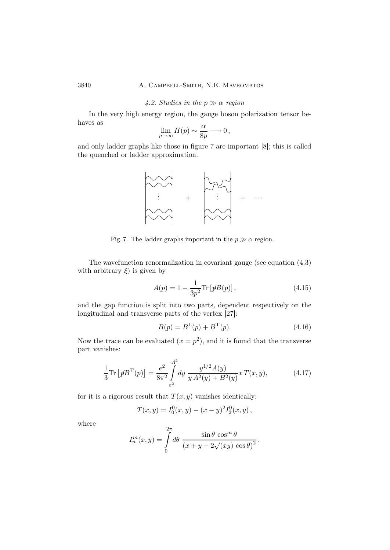# 3840 A. Campbell-Smith, N.E. Mavromatos

### 4.2. Studies in the  $p \gg \alpha$  region

In the very high energy region, the gauge boson polarization tensor behaves as

$$
\lim_{p \to \infty} \Pi(p) \sim \frac{\alpha}{8p} \longrightarrow 0,
$$

and only ladder graphs like those in figure 7 are important [8]; this is called the quenched or ladder approximation.



Fig. 7. The ladder graphs important in the  $p \gg \alpha$  region.

The wavefunction renormalization in covariant gauge (see equation (4.3) with arbitrary  $\xi$ ) is given by

$$
A(p) = 1 - \frac{1}{3p^2} \text{Tr} \left[ p B(p) \right], \tag{4.15}
$$

and the gap function is split into two parts, dependent respectively on the longitudinal and transverse parts of the vertex [27]:

$$
B(p) = B^{L}(p) + B^{T}(p).
$$
\n(4.16)

Now the trace can be evaluated  $(x = p^2)$ , and it is found that the transverse part vanishes:

$$
\frac{1}{3}\text{Tr}\left[pB^{\text{T}}(p)\right] = \frac{e^2}{8\pi^2} \int_{\varepsilon^2}^{\Lambda^2} dy \, \frac{y^{1/2}A(y)}{y A^2(y) + B^2(y)} x \, T(x, y),\tag{4.17}
$$

for it is a rigorous result that  $T(x, y)$  vanishes identically:

$$
T(x,y) = I_0^0(x,y) - (x - y)^2 I_2^0(x,y),
$$

where

$$
I_n^m(x, y) = \int_0^{2\pi} d\theta \frac{\sin \theta \cos^m \theta}{(x + y - 2\sqrt{(xy)}\cos \theta)^2}.
$$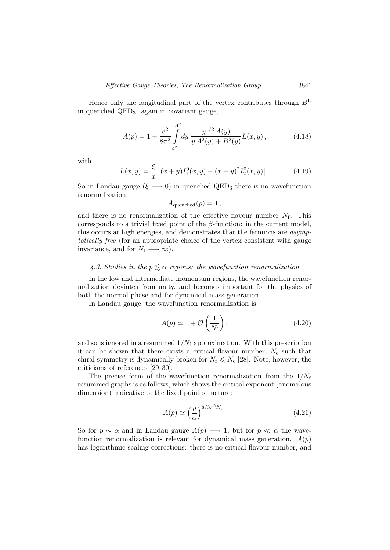Hence only the longitudinal part of the vertex contributes through  $B<sup>L</sup>$ in quenched QED3: again in covariant gauge,

$$
A(p) = 1 + \frac{e^2}{8\pi^2} \int_{\varepsilon^2}^{A^2} dy \, \frac{y^{1/2} A(y)}{y A^2(y) + B^2(y)} L(x, y), \tag{4.18}
$$

with

$$
L(x,y) = \frac{\xi}{x} \left[ (x+y)I_1^0(x,y) - (x-y)^2 I_2^0(x,y) \right].
$$
 (4.19)

So in Landau gauge ( $\xi \longrightarrow 0$ ) in quenched QED<sub>3</sub> there is no wavefunction renormalization:

 $A_{\text{quenched}}(p) = 1,$ 

and there is no renormalization of the effective flavour number  $N_f$ . This corresponds to a trivial fixed point of the  $\beta$ -function: in the current model, this occurs at high energies, and demonstrates that the fermions are asymptotically free (for an appropriate choice of the vertex consistent with gauge invariance, and for  $N_f \longrightarrow \infty$ ).

# 4.3. Studies in the  $p \leq \alpha$  regions: the wavefunction renormalization

In the low and intermediate momentum regions, the wavefunction renormalization deviates from unity, and becomes important for the physics of both the normal phase and for dynamical mass generation.

In Landau gauge, the wavefunction renormalization is

$$
A(p) \simeq 1 + \mathcal{O}\left(\frac{1}{N_{\rm f}}\right),\tag{4.20}
$$

and so is ignored in a resummed  $1/N_f$  approximation. With this prescription it can be shown that there exists a critical flavour number,  $N_c$  such that chiral symmetry is dynamically broken for  $N_f \le N_c$  [28]. Note, however, the criticisms of references [29, 30].

The precise form of the wavefunction renormalization from the  $1/N_f$ resummed graphs is as follows, which shows the critical exponent (anomalous dimension) indicative of the fixed point structure:

$$
A(p) \simeq \left(\frac{p}{\alpha}\right)^{8/3\pi^2 N_{\rm f}}.\tag{4.21}
$$

So for  $p \sim \alpha$  and in Landau gauge  $A(p) \longrightarrow 1$ , but for  $p \ll \alpha$  the wavefunction renormalization is relevant for dynamical mass generation.  $A(p)$ has logarithmic scaling corrections: there is no critical flavour number, and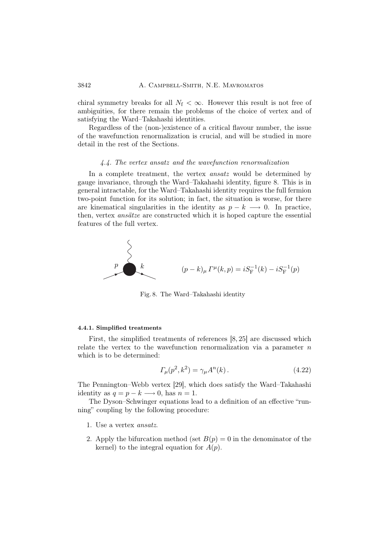chiral symmetry breaks for all  $N_f < \infty$ . However this result is not free of ambiguities, for there remain the problems of the choice of vertex and of satisfying the Ward–Takahashi identities.

Regardless of the (non-)existence of a critical flavour number, the issue of the wavefunction renormalization is crucial, and will be studied in more detail in the rest of the Sections.

# 4.4. The vertex ansatz and the wavefunction renormalization

In a complete treatment, the vertex *ansatz* would be determined by gauge invariance, through the Ward–Takahashi identity, figure 8. This is in general intractable, for the Ward–Takahashi identity requires the full fermion two-point function for its solution; in fact, the situation is worse, for there are kinematical singularities in the identity as  $p - k \longrightarrow 0$ . In practice, then, vertex ansätze are constructed which it is hoped capture the essential features of the full vertex.



Fig. 8. The Ward–Takahashi identity

#### 4.4.1. Simplified treatments

First, the simplified treatments of references [8, 25] are discussed which relate the vertex to the wavefunction renormalization via a parameter  $n$ which is to be determined:

$$
\Gamma_{\mu}(p^2, k^2) = \gamma_{\mu} A^n(k) \,. \tag{4.22}
$$

The Pennington–Webb vertex [29], which does satisfy the Ward–Takahashi identity as  $q = p - k \longrightarrow 0$ , has  $n = 1$ .

The Dyson–Schwinger equations lead to a definition of an effective "running" coupling by the following procedure:

- 1. Use a vertex ansatz.
- 2. Apply the bifurcation method (set  $B(p) = 0$  in the denominator of the kernel) to the integral equation for  $A(p)$ .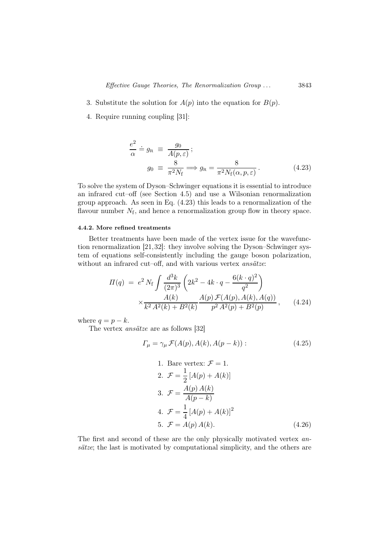- 3. Substitute the solution for  $A(p)$  into the equation for  $B(p)$ .
- 4. Require running coupling [31]:

$$
\frac{e^2}{\alpha} \doteq g_{\text{R}} \equiv \frac{g_0}{A(p,\varepsilon)}; g_0 \equiv \frac{8}{\pi^2 N_{\text{f}}} \Longrightarrow g_{\text{R}} = \frac{8}{\pi^2 N_{\text{f}}(\alpha, p, \varepsilon)}.
$$
 (4.23)

To solve the system of Dyson–Schwinger equations it is essential to introduce an infrared cut–off (see Section 4.5) and use a Wilsonian renormalization group approach. As seen in Eq. (4.23) this leads to a renormalization of the flavour number  $N_f$ , and hence a renormalization group flow in theory space.

# 4.4.2. More refined treatments

Better treatments have been made of the vertex issue for the wavefunction renormalization [21,32]: they involve solving the Dyson–Schwinger system of equations self-consistently including the gauge boson polarization, without an infrared cut–off, and with various vertex *ansätze*:

$$
\Pi(q) = e^2 N_f \int \frac{d^3k}{(2\pi)^3} \left( 2k^2 - 4k \cdot q - \frac{6(k \cdot q)^2}{q^2} \right) \times \frac{A(k)}{k^2 A^2(k) + B^2(k)} \frac{A(p) \mathcal{F}(A(p), A(k), A(q))}{p^2 A^2(p) + B^2(p)},
$$
(4.24)

where  $q = p - k$ .

The vertex ansätze are as follows [32]

$$
\Gamma_{\mu} = \gamma_{\mu} \mathcal{F}(A(p), A(k), A(p-k)) : \qquad (4.25)
$$

1. Bare vertex: 
$$
\mathcal{F} = 1
$$
.  
\n2.  $\mathcal{F} = \frac{1}{2} [A(p) + A(k)]$   
\n3.  $\mathcal{F} = \frac{A(p) A(k)}{A(p-k)}$   
\n4.  $\mathcal{F} = \frac{1}{4} [A(p) + A(k)]^2$   
\n5.  $\mathcal{F} = A(p) A(k)$ . (4.26)

The first and second of these are the only physically motivated vertex ansätze; the last is motivated by computational simplicity, and the others are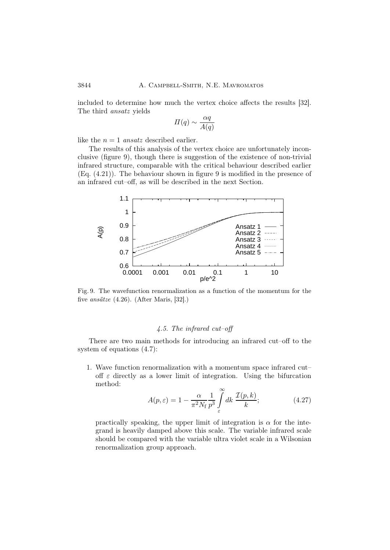included to determine how much the vertex choice affects the results [32]. The third ansatz yields

$$
\Pi(q) \sim \frac{\alpha q}{A(q)}
$$

like the  $n = 1$  ansatz described earlier.

The results of this analysis of the vertex choice are unfortunately inconclusive (figure 9), though there is suggestion of the existence of non-trivial infrared structure, comparable with the critical behaviour described earlier (Eq. (4.21)). The behaviour shown in figure 9 is modified in the presence of an infrared cut–off, as will be described in the next Section.



Fig. 9. The wavefunction renormalization as a function of the momentum for the five ansätze (4.26). (After Maris, [32].)

# 4.5. The infrared cut–off

There are two main methods for introducing an infrared cut–off to the system of equations (4.7):

1. Wave function renormalization with a momentum space infrared cut– off  $\varepsilon$  directly as a lower limit of integration. Using the bifurcation method:

$$
A(p,\varepsilon) = 1 - \frac{\alpha}{\pi^2 N_f} \frac{1}{p^3} \int_{\varepsilon}^{\infty} dk \, \frac{\mathcal{I}(p,k)}{k};\tag{4.27}
$$

practically speaking, the upper limit of integration is  $\alpha$  for the integrand is heavily damped above this scale. The variable infrared scale should be compared with the variable ultra violet scale in a Wilsonian renormalization group approach.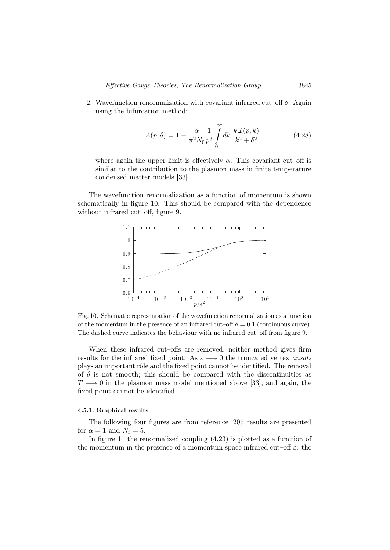2. Wavefunction renormalization with covariant infrared cut–off  $\delta$ . Again using the bifurcation method:

$$
A(p,\delta) = 1 - \frac{\alpha}{\pi^2 N_f} \frac{1}{p^3} \int_0^\infty dk \; \frac{k \, \mathcal{I}(p,k)}{k^2 + \delta^2},
$$
 (4.28)

where again the upper limit is effectively  $\alpha$ . This covariant cut–off is similar to the contribution to the plasmon mass in finite temperature condensed matter models [33].

The wavefunction renormalization as a function of momentum is shown schematically in figure 10. This should be compared with the dependence without infrared cut–off, figure 9.



Fig. 10. Schematic representation of the wavefunction renormalization as a function of the momentum in the presence of an infrared cut–off  $\delta = 0.1$  (continuous curve). The dashed curve indicates the behaviour with no infrared cut–off from figure 9.

When these infrared cut–offs are removed, neither method gives firm results for the infrared fixed point. As  $\varepsilon \longrightarrow 0$  the truncated vertex ansatz plays an important rôle and the fixed point cannot be identified. The removal of  $\delta$  is not smooth; this should be compared with the discontinuities as  $T \longrightarrow 0$  in the plasmon mass model mentioned above [33], and again, the fixed point cannot be identified.

# 4.5.1. Graphical results

The following four figures are from reference [20]; results are presented for  $\alpha = 1$  and  $N_f = 5$ .

In figure 11 the renormalized coupling (4.23) is plotted as a function of the momentum in the presence of a momentum space infrared cut–off  $\varepsilon$ : the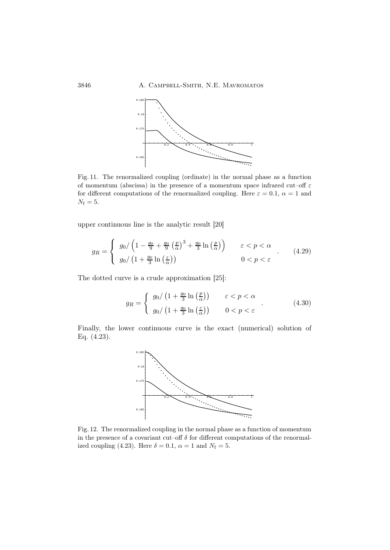

Fig. 11. The renormalized coupling (ordinate) in the normal phase as a function of momentum (abscissa) in the presence of a momentum space infrared cut–off  $\varepsilon$ for different computations of the renormalized coupling. Here  $\varepsilon = 0.1$ ,  $\alpha = 1$  and  $N_{\rm f}=5.$ 

upper continuous line is the analytic result [20]

$$
g_R = \begin{cases} g_0 / \left(1 - \frac{g_0}{9} + \frac{g_0}{9} \left(\frac{p}{\alpha}\right)^3 + \frac{g_0}{3} \ln\left(\frac{p}{\alpha}\right)\right) & \varepsilon < p < \alpha \\ g_0 / \left(1 + \frac{g_0}{3} \ln\left(\frac{\varepsilon}{\alpha}\right)\right) & 0 < p < \varepsilon \end{cases} (4.29)
$$

The dotted curve is a crude approximation [25]:

$$
g_R = \begin{cases} g_0/ \left(1 + \frac{g_0}{3} \ln\left(\frac{p}{\alpha}\right)\right) & \varepsilon < p < \alpha \\ g_0/ \left(1 + \frac{g_0}{3} \ln\left(\frac{\varepsilon}{\alpha}\right)\right) & 0 < p < \varepsilon \end{cases}
$$
(4.30)

Finally, the lower continuous curve is the exact (numerical) solution of Eq. (4.23).



Fig. 12. The renormalized coupling in the normal phase as a function of momentum in the presence of a covariant cut–off  $\delta$  for different computations of the renormalized coupling (4.23). Here  $\delta = 0.1$ ,  $\alpha = 1$  and  $N_f = 5$ .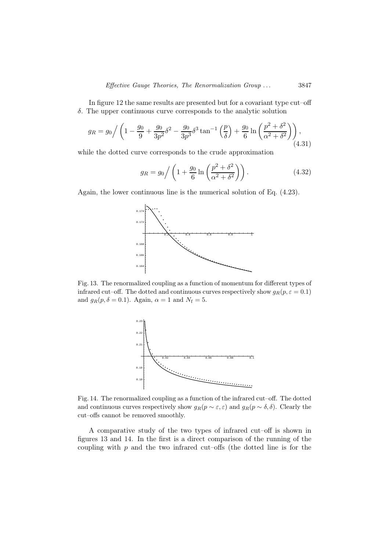In figure 12 the same results are presented but for a covariant type cut–off δ. The upper continuous curve corresponds to the analytic solution

$$
g_R = g_0 \bigg/ \left( 1 - \frac{g_0}{9} + \frac{g_0}{3p^2} \delta^2 - \frac{g_0}{3p^3} \delta^3 \tan^{-1} \left( \frac{p}{\delta} \right) + \frac{g_0}{6} \ln \left( \frac{p^2 + \delta^2}{\alpha^2 + \delta^2} \right) \right),\tag{4.31}
$$

while the dotted curve corresponds to the crude approximation

$$
g_R = g_0 \bigg/ \left( 1 + \frac{g_0}{6} \ln \left( \frac{p^2 + \delta^2}{\alpha^2 + \delta^2} \right) \right). \tag{4.32}
$$

Again, the lower continuous line is the numerical solution of Eq. (4.23).



Fig. 13. The renormalized coupling as a function of momentum for different types of infrared cut–off. The dotted and continuous curves respectively show  $g_R(p, \varepsilon = 0.1)$ and  $g_R(p, \delta = 0.1)$ . Again,  $\alpha = 1$  and  $N_f = 5$ .



Fig. 14. The renormalized coupling as a function of the infrared cut–off. The dotted and continuous curves respectively show  $g_R(p \sim \varepsilon, \varepsilon)$  and  $g_R(p \sim \delta, \delta)$ . Clearly the cut–offs cannot be removed smoothly.

A comparative study of the two types of infrared cut–off is shown in figures 13 and 14. In the first is a direct comparison of the running of the coupling with  $p$  and the two infrared cut–offs (the dotted line is for the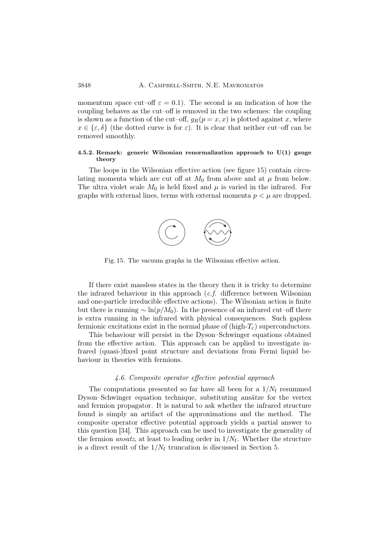momentum space cut–off  $\varepsilon = 0.1$ ). The second is an indication of how the coupling behaves as the cut–off is removed in the two schemes: the coupling is shown as a function of the cut–off,  $g_R(p = x, x)$  is plotted against x, where  $x \in {\epsilon, \delta}$  (the dotted curve is for  $\varepsilon$ ). It is clear that neither cut–off can be removed smoothly.

# 4.5.2. Remark: generic Wilsonian renormalization approach to  $U(1)$  gauge theory

The loops in the Wilsonian effective action (see figure 15) contain circulating momenta which are cut off at  $M_0$  from above and at  $\mu$  from below. The ultra violet scale  $M_0$  is held fixed and  $\mu$  is varied in the infrared. For graphs with external lines, terms with external momenta  $p < \mu$  are dropped.



Fig. 15. The vacuum graphs in the Wilsonian effective action.

If there exist massless states in the theory then it is tricky to determine the infrared behaviour in this approach (c.f. difference between Wilsonian and one-particle irreducible effective actions). The Wilsonian action is finite but there is running  $\sim \ln(p/M_0)$ . In the presence of an infrared cut–off there is extra running in the infrared with physical consequences. Such gapless fermionic excitations exist in the normal phase of  $(high-T_c)$  superconductors.

This behaviour will persist in the Dyson–Schwinger equations obtained from the effective action. This approach can be applied to investigate infrared (quasi-)fixed point structure and deviations from Fermi liquid behaviour in theories with fermions.

### 4.6. Composite operator effective potential approach

The computations presented so far have all been for a  $1/N_f$  resummed Dyson–Schwinger equation technique, substituting ansätze for the vertex and fermion propagator. It is natural to ask whether the infrared structure found is simply an artifact of the approximations and the method. The composite operator effective potential approach yields a partial answer to this question [34]. This approach can be used to investigate the generality of the fermion *ansatz*, at least to leading order in  $1/N_f$ . Whether the structure is a direct result of the  $1/N_f$  truncation is discussed in Section 5.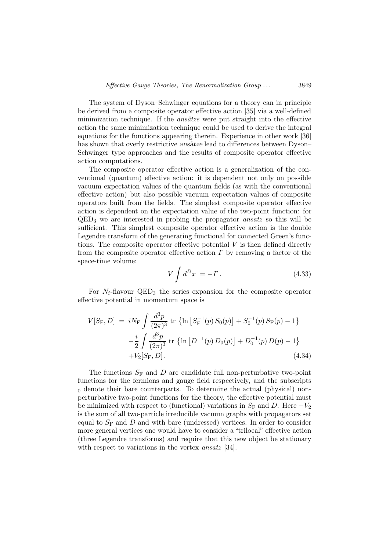The system of Dyson–Schwinger equations for a theory can in principle be derived from a composite operator effective action [35] via a well-defined minimization technique. If the *ansätze* were put straight into the effective action the same minimization technique could be used to derive the integral equations for the functions appearing therein. Experience in other work [36] has shown that overly restrictive ansätze lead to differences between Dyson– Schwinger type approaches and the results of composite operator effective action computations.

The composite operator effective action is a generalization of the conventional (quantum) effective action: it is dependent not only on possible vacuum expectation values of the quantum fields (as with the conventional effective action) but also possible vacuum expectation values of composite operators built from the fields. The simplest composite operator effective action is dependent on the expectation value of the two-point function: for  $QED<sub>3</sub>$  we are interested in probing the propagator *ansatz* so this will be sufficient. This simplest composite operator effective action is the double Legendre transform of the generating functional for connected Green's functions. The composite operator effective potential  $V$  is then defined directly from the composite operator effective action  $\Gamma$  by removing a factor of the space-time volume:

$$
V \int d^D x = -\Gamma \,. \tag{4.33}
$$

For  $N_f$ -flavour QED<sub>3</sub> the series expansion for the composite operator effective potential in momentum space is

$$
V[S_{\rm F}, D] = iN_{\rm F} \int \frac{d^3p}{(2\pi)^3} \text{ tr } \{ \ln \left[ S_{\rm F}^{-1}(p) S_0(p) \right] + S_0^{-1}(p) S_{\rm F}(p) - 1 \}
$$
  

$$
- \frac{i}{2} \int \frac{d^3p}{(2\pi)^3} \text{ tr } \{ \ln \left[ D^{-1}(p) D_0(p) \right] + D_0^{-1}(p) D(p) - 1 \}
$$
  
+  $V_2[S_{\rm F}, D].$  (4.34)

The functions  $S_F$  and D are candidate full non-perturbative two-point functions for the fermions and gauge field respectively, and the subscripts  $<sub>0</sub>$  denote their bare counterparts. To determine the actual (physical) non-</sub> perturbative two-point functions for the theory, the effective potential must be minimized with respect to (functional) variations in  $S_F$  and D. Here  $-V_2$ is the sum of all two-particle irreducible vacuum graphs with propagators set equal to  $S_F$  and D and with bare (undressed) vertices. In order to consider more general vertices one would have to consider a "trilocal" effective action (three Legendre transforms) and require that this new object be stationary with respect to variations in the vertex *ansatz* [34].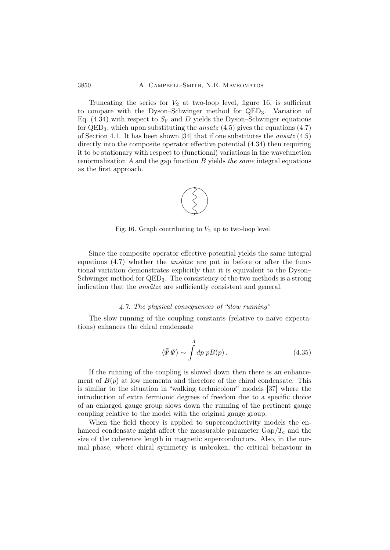# 3850 A. Campbell-Smith, N.E. Mavromatos

Truncating the series for  $V_2$  at two-loop level, figure 16, is sufficient to compare with the Dyson–Schwinger method for QED3. Variation of Eq. (4.34) with respect to  $S_F$  and D yields the Dyson–Schwinger equations for  $QED_3$ , which upon substituting the *ansatz* (4.5) gives the equations (4.7) of Section 4.1. It has been shown [34] that if one substitutes the *ansatz*  $(4.5)$ directly into the composite operator effective potential (4.34) then requiring it to be stationary with respect to (functional) variations in the wavefunction renormalization  $A$  and the gap function  $B$  yields the same integral equations as the first approach.



Fig. 16. Graph contributing to  $V_2$  up to two-loop level

Since the composite operator effective potential yields the same integral equations  $(4.7)$  whether the *ansätze* are put in before or after the functional variation demonstrates explicitly that it is equivalent to the Dyson– Schwinger method for QED<sub>3</sub>. The consistency of the two methods is a strong indication that the *ansätze* are sufficiently consistent and general.

## 4.7. The physical consequences of "slow running"

The slow running of the coupling constants (relative to naïve expectations) enhances the chiral condensate

$$
\langle \bar{\Psi}\,\Psi \rangle \sim \int d\rho \; p B(p) \,. \tag{4.35}
$$

If the running of the coupling is slowed down then there is an enhancement of  $B(p)$  at low momenta and therefore of the chiral condensate. This is similar to the situation in "walking technicolour" models [37] where the introduction of extra fermionic degrees of freedom due to a specific choice of an enlarged gauge group slows down the running of the pertinent gauge coupling relative to the model with the original gauge group.

When the field theory is applied to superconductivity models the enhanced condensate might affect the measurable parameter  $\text{Gap}/T_c$  and the size of the coherence length in magnetic superconductors. Also, in the normal phase, where chiral symmetry is unbroken, the critical behaviour in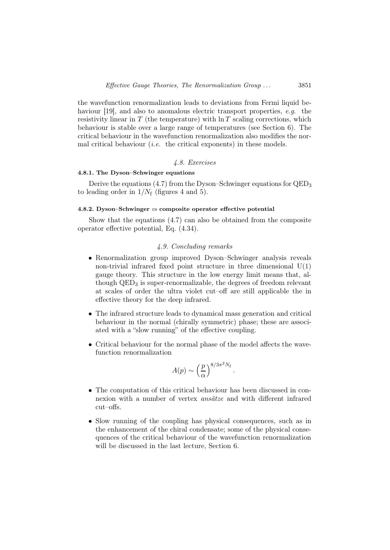the wavefunction renormalization leads to deviations from Fermi liquid behaviour [19], and also to anomalous electric transport properties, e.g. the resistivity linear in  $T$  (the temperature) with  $\ln T$  scaling corrections, which behaviour is stable over a large range of temperatures (see Section 6). The critical behaviour in the wavefunction renormalization also modifies the normal critical behaviour *(i.e.* the critical exponents) in these models.

# 4.8. Exercises

# 4.8.1. The Dyson–Schwinger equations

Derive the equations (4.7) from the Dyson–Schwinger equations for QED<sup>3</sup> to leading order in  $1/N_f$  (figures 4 and 5).

# 4.8.2. Dyson–Schwinger vs composite operator effective potential

Show that the equations (4.7) can also be obtained from the composite operator effective potential, Eq. (4.34).

## 4.9. Concluding remarks

- Renormalization group improved Dyson–Schwinger analysis reveals non-trivial infrared fixed point structure in three dimensional  $U(1)$ gauge theory. This structure in the low energy limit means that, although  $QED<sub>3</sub>$  is super-renormalizable, the degrees of freedom relevant at scales of order the ultra violet cut–off are still applicable the in effective theory for the deep infrared.
- The infrared structure leads to dynamical mass generation and critical behaviour in the normal (chirally symmetric) phase; these are associated with a "slow running" of the effective coupling.
- Critical behaviour for the normal phase of the model affects the wavefunction renormalization

$$
A(p) \sim \left(\frac{p}{\alpha}\right)^{8/3\pi^2 N_{\rm f}}.
$$

- The computation of this critical behaviour has been discussed in connexion with a number of vertex ansätze and with different infrared cut–offs.
- Slow running of the coupling has physical consequences, such as in the enhancement of the chiral condensate; some of the physical consequences of the critical behaviour of the wavefunction renormalization will be discussed in the last lecture, Section 6.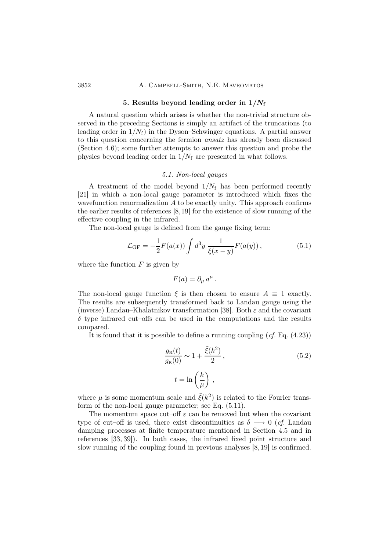#### 3852 A. CAMPBELL-SMITH, N.E. MAVROMATOS

### 5. Results beyond leading order in  $1/N_f$

A natural question which arises is whether the non-trivial structure observed in the preceding Sections is simply an artifact of the truncations (to leading order in  $1/N_f$ ) in the Dyson–Schwinger equations. A partial answer to this question concerning the fermion ansatz has already been discussed (Section 4.6); some further attempts to answer this question and probe the physics beyond leading order in  $1/N_f$  are presented in what follows.

# 5.1. Non-local gauges

A treatment of the model beyond  $1/N_f$  has been performed recently [21] in which a non-local gauge parameter is introduced which fixes the wavefunction renormalization  $A$  to be exactly unity. This approach confirms the earlier results of references [8,19] for the existence of slow running of the effective coupling in the infrared.

The non-local gauge is defined from the gauge fixing term:

$$
\mathcal{L}_{GF} = -\frac{1}{2} F(a(x)) \int d^3 y \, \frac{1}{\xi(x-y)} F(a(y)), \tag{5.1}
$$

where the function  $F$  is given by

$$
F(a) = \partial_{\mu} a^{\mu}.
$$

The non-local gauge function  $\xi$  is then chosen to ensure  $A \equiv 1$  exactly. The results are subsequently transformed back to Landau gauge using the (inverse) Landau–Khalatnikov transformation [38]. Both  $\varepsilon$  and the covariant  $\delta$  type infrared cut–offs can be used in the computations and the results compared.

It is found that it is possible to define a running coupling  $(cf. Eq. (4.23))$ 

$$
\frac{g_{\rm R}(t)}{g_{\rm R}(0)} \sim 1 + \frac{\tilde{\xi}(k^2)}{2},
$$
\n
$$
t = \ln\left(\frac{k}{\mu}\right),
$$
\n(5.2)

where  $\mu$  is some momentum scale and  $\tilde{\xi}(k^2)$  is related to the Fourier transform of the non-local gauge parameter; see Eq. (5.11).

The momentum space cut–off  $\varepsilon$  can be removed but when the covariant type of cut–off is used, there exist discontinuities as  $\delta \longrightarrow 0$  (*cf.* Landau damping processes at finite temperature mentioned in Section 4.5 and in references [33, 39]). In both cases, the infrared fixed point structure and slow running of the coupling found in previous analyses [8,19] is confirmed.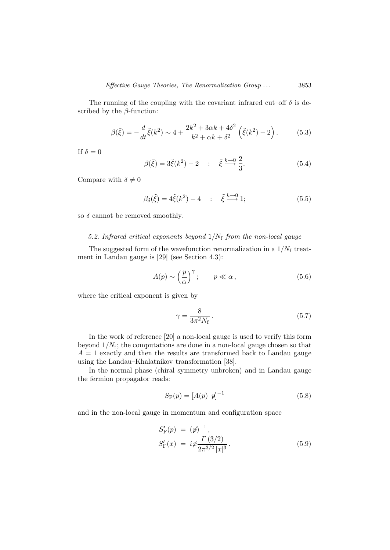The running of the coupling with the covariant infrared cut–off  $\delta$  is described by the  $\beta$ -function:

$$
\beta(\tilde{\xi}) = -\frac{d}{dt}\tilde{\xi}(k^2) \sim 4 + \frac{2k^2 + 3\alpha k + 4\delta^2}{k^2 + \alpha k + \delta^2} \left(\tilde{\xi}(k^2) - 2\right). \tag{5.3}
$$

If  $\delta = 0$ 

$$
\beta(\tilde{\xi}) = 3\tilde{\xi}(k^2) - 2 \qquad ; \quad \tilde{\xi} \stackrel{k \to 0}{\longrightarrow} \frac{2}{3}.
$$
 (5.4)

Compare with  $\delta \neq 0$ 

$$
\beta_{\delta}(\tilde{\xi}) = 4\tilde{\xi}(k^2) - 4 \quad : \quad \tilde{\xi} \stackrel{k \to 0}{\longrightarrow} 1; \tag{5.5}
$$

so  $\delta$  cannot be removed smoothly.

# 5.2. Infrared critical exponents beyond  $1/N_f$  from the non-local gauge

The suggested form of the wavefunction renormalization in a  $1/N<sub>f</sub>$  treatment in Landau gauge is [29] (see Section 4.3):

$$
A(p) \sim \left(\frac{p}{\alpha}\right)^{\gamma}; \qquad p \ll \alpha \,, \tag{5.6}
$$

where the critical exponent is given by

$$
\gamma = \frac{8}{3\pi^2 N_f} \,. \tag{5.7}
$$

In the work of reference [20] a non-local gauge is used to verify this form beyond  $1/N_f$ ; the computations are done in a non-local gauge chosen so that  $A = 1$  exactly and then the results are transformed back to Landau gauge using the Landau–Khalatnikov transformation [38].

In the normal phase (chiral symmetry unbroken) and in Landau gauge the fermion propagator reads:

$$
S_{\mathcal{F}}(p) = [A(p) \ p]^{-1}
$$
 (5.8)

and in the non-local gauge in momentum and configuration space

$$
S'_{\rm F}(p) = (p)^{-1},
$$
  
\n
$$
S'_{\rm F}(x) = i \frac{\Gamma(3/2)}{2\pi^{3/2} |x|^3}.
$$
\n(5.9)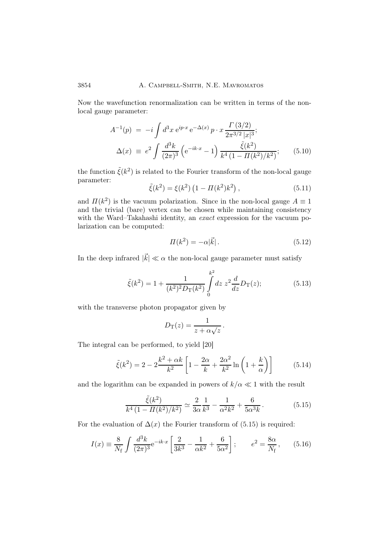Now the wavefunction renormalization can be written in terms of the nonlocal gauge parameter:

$$
A^{-1}(p) = -i \int d^3x \, e^{ip \cdot x} \, e^{-\Delta(x)} \, p \cdot x \, \frac{\Gamma(3/2)}{2\pi^{3/2} |x|^3};
$$
  
\n
$$
\Delta(x) \equiv e^2 \int \frac{d^3k}{(2\pi)^3} \left( e^{-ik \cdot x} - 1 \right) \frac{\tilde{\xi}(k^2)}{k^4 \left(1 - \Pi(k^2)/k^2\right)};
$$
\n(5.10)

the function  $\tilde{\xi}(k^2)$  is related to the Fourier transform of the non-local gauge parameter:

$$
\tilde{\xi}(k^2) = \xi(k^2) \left( 1 - \Pi(k^2) k^2 \right),\tag{5.11}
$$

and  $\Pi(k^2)$  is the vacuum polarization. Since in the non-local gauge  $A \equiv 1$ and the trivial (bare) vertex can be chosen while maintaining consistency with the Ward–Takahashi identity, an *exact* expression for the vacuum polarization can be computed:

$$
\Pi(k^2) = -\alpha |\vec{k}|. \tag{5.12}
$$

In the deep infrared  $|\vec{k}| \ll \alpha$  the non-local gauge parameter must satisfy

$$
\tilde{\xi}(k^2) = 1 + \frac{1}{(k^2)^2 D_T(k^2)} \int_0^{k^2} dz \ z^2 \frac{d}{dz} D_T(z); \tag{5.13}
$$

with the transverse photon propagator given by

$$
D_{\rm T}(z) = \frac{1}{z + \alpha \sqrt{z}}.
$$

The integral can be performed, to yield [20]

$$
\tilde{\xi}(k^2) = 2 - 2\frac{k^2 + \alpha k}{k^2} \left[ 1 - \frac{2\alpha}{k} + \frac{2\alpha^2}{k^2} \ln\left(1 + \frac{k}{\alpha}\right) \right]
$$
(5.14)

and the logarithm can be expanded in powers of  $k/\alpha \ll 1$  with the result

$$
\frac{\tilde{\xi}(k^2)}{k^4 (1 - \Pi(k^2)/k^2)} \simeq \frac{2}{3\alpha} \frac{1}{k^3} - \frac{1}{\alpha^2 k^2} + \frac{6}{5\alpha^3 k}.
$$
 (5.15)

For the evaluation of  $\Delta(x)$  the Fourier transform of (5.15) is required:

$$
I(x) \equiv \frac{8}{N_f} \int \frac{d^3k}{(2\pi)^3} e^{-ik \cdot x} \left[ \frac{2}{3k^3} - \frac{1}{\alpha k^2} + \frac{6}{5\alpha^2} \right]; \qquad e^2 = \frac{8\alpha}{N_f}, \qquad (5.16)
$$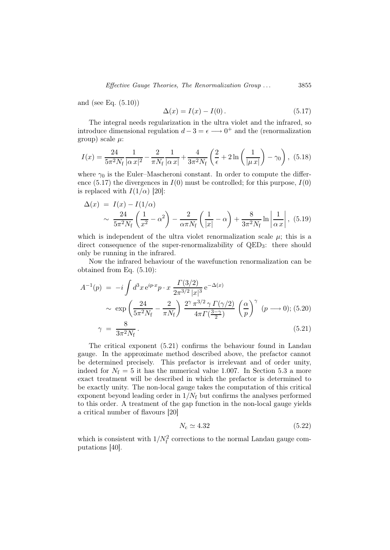and (see Eq. (5.10))

$$
\Delta(x) = I(x) - I(0). \tag{5.17}
$$

The integral needs regularization in the ultra violet and the infrared, so introduce dimensional regulation  $d - 3 = \epsilon \longrightarrow 0^+$  and the (renormalization group) scale  $\mu$ :

$$
I(x) = \frac{24}{5\pi^2 N_f} \frac{1}{|\alpha x|^2} - \frac{2}{\pi N_f} \frac{1}{|\alpha x|} + \frac{4}{3\pi^2 N_f} \left(\frac{2}{\epsilon} + 2\ln\left(\frac{1}{|\mu x|}\right) - \gamma_0\right), (5.18)
$$

where  $\gamma_0$  is the Euler–Mascheroni constant. In order to compute the difference  $(5.17)$  the divergences in  $I(0)$  must be controlled; for this purpose,  $I(0)$ is replaced with  $I(1/\alpha)$  [20]:

$$
\Delta(x) = I(x) - I(1/\alpha)
$$
  
 
$$
\sim \frac{24}{5\pi^2 N_f} \left(\frac{1}{x^2} - \alpha^2\right) - \frac{2}{\alpha \pi N_f} \left(\frac{1}{|x|} - \alpha\right) + \frac{8}{3\pi^2 N_f} \ln\left|\frac{1}{\alpha x}\right|, (5.19)
$$

which is independent of the ultra violet renormalization scale  $\mu$ ; this is a direct consequence of the super-renormalizability of QED3: there should only be running in the infrared.

Now the infrared behaviour of the wavefunction renormalization can be obtained from Eq. (5.10):

$$
A^{-1}(p) = -i \int d^3x \, e^{ip \cdot x} p \cdot x \, \frac{\Gamma(3/2)}{2\pi^{3/2} |x|^3} e^{-\Delta(x)} \\
\sim \exp\left(\frac{24}{5\pi^2 N_f} - \frac{2}{\pi N_f}\right) \frac{2^\gamma \pi^{3/2} \gamma \Gamma(\gamma/2)}{4\pi \Gamma(\frac{3-\gamma}{2})} \left(\frac{\alpha}{p}\right)^\gamma (p \longrightarrow 0); (5.20) \\
\gamma = \frac{8}{3\pi^2 N_f} .
$$
\n(5.21)

The critical exponent (5.21) confirms the behaviour found in Landau gauge. In the approximate method described above, the prefactor cannot be determined precisely. This prefactor is irrelevant and of order unity, indeed for  $N_f = 5$  it has the numerical value 1.007. In Section 5.3 a more exact treatment will be described in which the prefactor is determined to be exactly unity. The non-local gauge takes the computation of this critical exponent beyond leading order in  $1/N_f$  but confirms the analyses performed to this order. A treatment of the gap function in the non-local gauge yields a critical number of flavours [20]

$$
N_{\rm c} \simeq 4.32\tag{5.22}
$$

which is consistent with  $1/N_f^2$  corrections to the normal Landau gauge computations [40].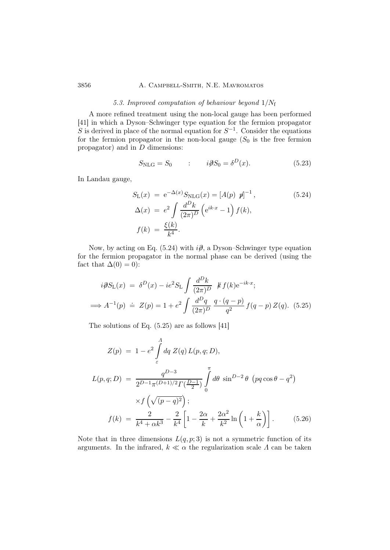# 3856 A. Campbell-Smith, N.E. Mavromatos

## 5.3. Improved computation of behaviour beyond  $1/N_f$

A more refined treatment using the non-local gauge has been performed [41] in which a Dyson–Schwinger type equation for the fermion propagator S is derived in place of the normal equation for  $S^{-1}$ . Consider the equations for the fermion propagator in the non-local gauge  $(S_0$  is the free fermion propagator) and in D dimensions:

$$
S_{\rm NLG} = S_0 \qquad : \qquad i\partial S_0 = \delta^D(x). \tag{5.23}
$$

In Landau gauge,

$$
S_{\rm L}(x) = e^{-\Delta(x)} S_{\rm NLG}(x) = [A(p) \ p]^{-1},
$$
  
\n
$$
\Delta(x) = e^2 \int \frac{d^D k}{(2\pi)^D} \left( e^{ik \cdot x} - 1 \right) f(k),
$$
  
\n
$$
f(k) = \frac{\xi(k)}{k^4}.
$$
\n(5.24)

Now, by acting on Eq. (5.24) with  $i\partial$ , a Dyson–Schwinger type equation for the fermion propagator in the normal phase can be derived (using the fact that  $\Delta(0) = 0$ :

$$
i\partial S_{\rm L}(x) = \delta^D(x) - ie^2 S_{\rm L} \int \frac{d^D k}{(2\pi)^D} \ k f(k) e^{-ik \cdot x};
$$
  

$$
\implies A^{-1}(p) \doteq Z(p) = 1 + e^2 \int \frac{d^D q}{(2\pi)^D} \frac{q \cdot (q - p)}{q^2} f(q - p) Z(q). \tag{5.25}
$$

The solutions of Eq. (5.25) are as follows [41]

$$
Z(p) = 1 - e^2 \int_{\varepsilon}^{A} dq \, Z(q) \, L(p, q; D),
$$
  
\n
$$
L(p, q; D) = \frac{q^{D-3}}{2^{D-1} \pi^{(D+1)/2} \Gamma(\frac{D-1}{2})} \int_{0}^{\pi} d\theta \, \sin^{D-2} \theta \, (pq \cos \theta - q^2)
$$
  
\n
$$
\times f\left(\sqrt{(p-q)^2}\right);
$$
  
\n
$$
f(k) = \frac{2}{k^4 + \alpha k^3} - \frac{2}{k^4} \left[1 - \frac{2\alpha}{k} + \frac{2\alpha^2}{k^2} \ln\left(1 + \frac{k}{\alpha}\right)\right].
$$
 (5.26)

Note that in three dimensions  $L(q, p; 3)$  is not a symmetric function of its arguments. In the infrared,  $k \ll \alpha$  the regularization scale  $\Lambda$  can be taken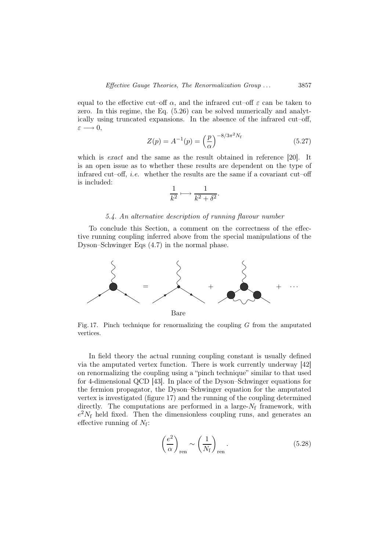equal to the effective cut–off  $\alpha$ , and the infrared cut–off  $\varepsilon$  can be taken to zero. In this regime, the Eq. (5.26) can be solved numerically and analytically using truncated expansions. In the absence of the infrared cut–off,  $\varepsilon \longrightarrow 0$ ,

$$
Z(p) = A^{-1}(p) = \left(\frac{p}{\alpha}\right)^{-8/3\pi^2 N_{\rm f}}\tag{5.27}
$$

which is *exact* and the same as the result obtained in reference [20]. It is an open issue as to whether these results are dependent on the type of infrared cut–off, *i.e.* whether the results are the same if a covariant cut–off is included:

$$
\frac{1}{k^2} \longmapsto \frac{1}{k^2 + \delta^2}.
$$

## 5.4. An alternative description of running flavour number

To conclude this Section, a comment on the correctness of the effective running coupling inferred above from the special manipulations of the Dyson–Schwinger Eqs (4.7) in the normal phase.



Fig. 17. Pinch technique for renormalizing the coupling  $G$  from the amputated vertices.

In field theory the actual running coupling constant is usually defined via the amputated vertex function. There is work currently underway [42] on renormalizing the coupling using a "pinch technique" similar to that used for 4-dimensional QCD [43]. In place of the Dyson–Schwinger equations for the fermion propagator, the Dyson–Schwinger equation for the amputated vertex is investigated (figure 17) and the running of the coupling determined directly. The computations are performed in a large- $N_f$  framework, with  $e^2 N_f$  held fixed. Then the dimensionless coupling runs, and generates an effective running of  $N_f$ :

22.25

$$
\left(\frac{e^2}{\alpha}\right)_{\text{ren}} \sim \left(\frac{1}{N_{\text{f}}}\right)_{\text{ren}}.\tag{5.28}
$$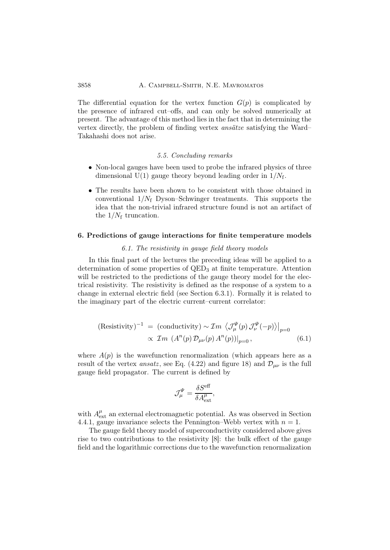# 3858 A. Campbell-Smith, N.E. Mavromatos

The differential equation for the vertex function  $G(p)$  is complicated by the presence of infrared cut–offs, and can only be solved numerically at present. The advantage of this method lies in the fact that in determining the vertex directly, the problem of finding vertex ansätze satisfying the Ward– Takahashi does not arise.

# 5.5. Concluding remarks

- Non-local gauges have been used to probe the infrared physics of three dimensional U(1) gauge theory beyond leading order in  $1/N_f$ .
- The results have been shown to be consistent with those obtained in conventional  $1/N_f$  Dyson–Schwinger treatments. This supports the idea that the non-trivial infrared structure found is not an artifact of the  $1/N_f$  truncation.

#### 6. Predictions of gauge interactions for finite temperature models

#### 6.1. The resistivity in gauge field theory models

In this final part of the lectures the preceding ideas will be applied to a determination of some properties of QED<sub>3</sub> at finite temperature. Attention will be restricted to the predictions of the gauge theory model for the electrical resistivity. The resistivity is defined as the response of a system to a change in external electric field (see Section 6.3.1). Formally it is related to the imaginary part of the electric current–current correlator:

(Resistivity)<sup>-1</sup> = (conductivity) ~ 
$$
\mathcal{I}m \langle \mathcal{J}_{\mu}^{\Psi}(p) \mathcal{J}_{\nu}^{\Psi}(-p) \rangle|_{p=0}
$$
  
  $\propto \mathcal{I}m \langle A^{n}(p) \mathcal{D}_{\mu\nu}(p) A^{n}(p) \rangle|_{p=0}$ , (6.1)

where  $A(p)$  is the wavefunction renormalization (which appears here as a result of the vertex *ansatz*, see Eq. (4.22) and figure 18) and  $\mathcal{D}_{\mu\nu}$  is the full gauge field propagator. The current is defined by

$$
\mathcal{J}^{\Psi}_{\mu} = \frac{\delta S^{\text{eff}}}{\delta A^{\mu}_{\text{ext}}},
$$

with  $A_{\text{ext}}^{\mu}$  an external electromagnetic potential. As was observed in Section 4.4.1, gauge invariance selects the Pennington–Webb vertex with  $n = 1$ .

The gauge field theory model of superconductivity considered above gives rise to two contributions to the resistivity [8]: the bulk effect of the gauge field and the logarithmic corrections due to the wavefunction renormalization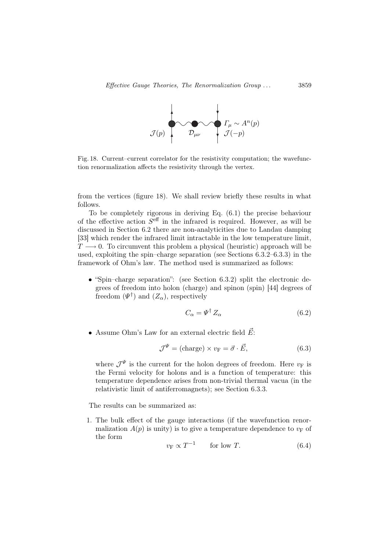

Fig. 18. Current–current correlator for the resistivity computation; the wavefunction renormalization affects the resistivity through the vertex.

from the vertices (figure 18). We shall review briefly these results in what follows.

To be completely rigorous in deriving Eq. (6.1) the precise behaviour of the effective action  $S^{\text{eff}}$  in the infrared is required. However, as will be discussed in Section 6.2 there are non-analyticities due to Landau damping [33] which render the infrared limit intractable in the low temperature limit,  $T \longrightarrow 0$ . To circumvent this problem a physical (heuristic) approach will be used, exploiting the spin–charge separation (see Sections 6.3.2–6.3.3) in the framework of Ohm's law. The method used is summarized as follows:

• "Spin–charge separation": (see Section 6.3.2) split the electronic degrees of freedom into holon (charge) and spinon (spin) [44] degrees of freedom  $(\Psi^{\dagger})$  and  $(Z_{\alpha})$ , respectively

$$
C_{\alpha} = \Psi^{\dagger} Z_{\alpha} \tag{6.2}
$$

• Assume Ohm's Law for an external electric field  $\vec{E}$ :

$$
\mathcal{J}^{\Psi} = (\text{charge}) \times v_{\text{F}} = \vec{\sigma} \cdot \vec{E}, \qquad (6.3)
$$

where  $\mathcal{J}^{\Psi}$  is the current for the holon degrees of freedom. Here  $v_{\text{F}}$  is the Fermi velocity for holons and is a function of temperature: this temperature dependence arises from non-trivial thermal vacua (in the relativistic limit of antiferromagnets); see Section 6.3.3.

The results can be summarized as:

1. The bulk effect of the gauge interactions (if the wavefunction renormalization  $A(p)$  is unity) is to give a temperature dependence to  $v_F$  of the form

$$
v_{\rm F} \propto T^{-1} \qquad \text{for low } T. \tag{6.4}
$$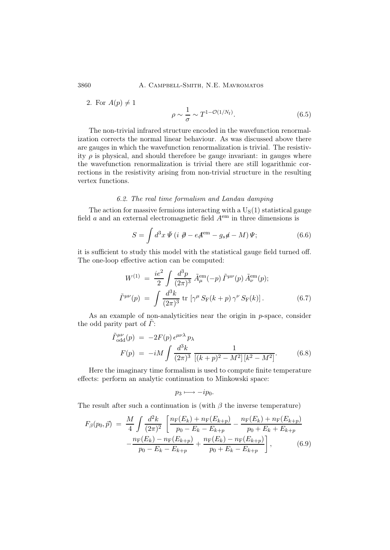3860 A. Campbell-Smith, N.E. Mavromatos

2. For  $A(p) \neq 1$ 

$$
\rho \sim \frac{1}{\sigma} \sim T^{1-\mathcal{O}(1/N_{\rm f})}.\tag{6.5}
$$

The non-trivial infrared structure encoded in the wavefunction renormalization corrects the normal linear behaviour. As was discussed above there are gauges in which the wavefunction renormalization is trivial. The resistivity  $\rho$  is physical, and should therefore be gauge invariant: in gauges where the wavefunction renormalization is trivial there are still logarithmic corrections in the resistivity arising from non-trivial structure in the resulting vertex functions.

# 6.2. The real time formalism and Landau damping

The action for massive fermions interacting with a  $U_S(1)$  statistical gauge field  $a$  and an external electromagnetic field  $A<sup>em</sup>$  in three dimensions is

$$
S = \int d^3x \,\bar{\Psi} \left( i \,\bar{\mathcal{D}} - e \mathcal{A}^{\rm em} - g_s \mathcal{A} - M \right) \Psi; \tag{6.6}
$$

it is sufficient to study this model with the statistical gauge field turned off. The one-loop effective action can be computed:

$$
W^{(1)} = \frac{ie^2}{2} \int \frac{d^3p}{(2\pi)^3} \tilde{A}_{\mu}^{\text{em}}(-p) \tilde{\Gamma}^{\mu\nu}(p) \tilde{A}_{\nu}^{\text{em}}(p);
$$
  

$$
\tilde{\Gamma}^{\mu\nu}(p) = \int \frac{d^3k}{(2\pi)^3} \text{tr} \left[ \gamma^{\mu} S_{\text{F}}(k+p) \gamma^{\nu} S_{\text{F}}(k) \right]. \tag{6.7}
$$

As an example of non-analyticities near the origin in  $p$ -space, consider the odd parity part of  $\ddot{\Gamma}$ :

$$
\tilde{\Gamma}^{\mu\nu}_{\text{odd}}(p) = -2F(p) \epsilon^{\mu\nu\lambda} p_{\lambda} \nF(p) = -iM \int \frac{d^3k}{(2\pi)^3} \frac{1}{[(k+p)^2 - M^2][k^2 - M^2]}.
$$
\n(6.8)

Here the imaginary time formalism is used to compute finite temperature effects: perform an analytic continuation to Minkowski space:

$$
p_3 \longmapsto -ip_0.
$$

The result after such a continuation is (with  $\beta$  the inverse temperature)

$$
F_{\beta}(p_0, \vec{p}) = \frac{M}{4} \int \frac{d^2 k}{(2\pi)^2} \left[ \frac{n_{\rm F}(E_k) + n_{\rm F}(E_{k+p})}{p_0 - E_k - E_{k+p}} - \frac{n_{\rm F}(E_k) + n_{\rm F}(E_{k+p})}{p_0 + E_k + E_{k+p}} - \frac{n_{\rm F}(E_k) - n_{\rm F}(E_{k+p})}{p_0 - E_k - E_{k+p}} + \frac{n_{\rm F}(E_k) - n_{\rm F}(E_{k+p})}{p_0 + E_k - E_{k+p}} \right],
$$
(6.9)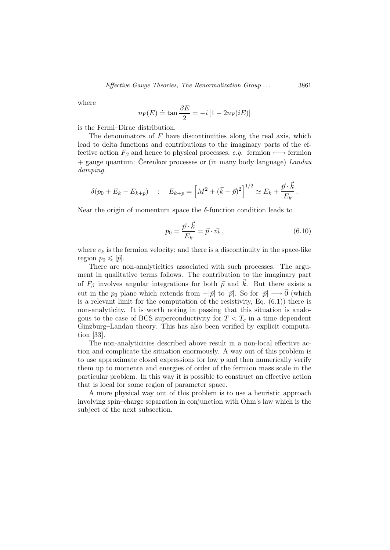where

$$
n_{\rm F}(E) \doteq \tan \frac{\beta E}{2} = -i \left[ 1 - 2n_{\rm F}(iE) \right]
$$

is the Fermi–Dirac distribution.

The denominators of  $F$  have discontinuities along the real axis, which lead to delta functions and contributions to the imaginary parts of the effective action  $F_\beta$  and hence to physical processes, e.g. fermion  $\longleftrightarrow$  fermion  $+$  gauge quantum: Cerenkov processes or (in many body language) Landau damping.

$$
\delta(p_0 + E_k - E_{k+p}) \quad : \quad E_{k+p} = \left[ M^2 + (\vec{k} + \vec{p})^2 \right]^{1/2} \simeq E_k + \frac{\vec{p} \cdot \vec{k}}{E_k} \, .
$$

Near the origin of momentum space the  $\delta$ -function condition leads to

$$
p_0 = \frac{\vec{p} \cdot \vec{k}}{E_k} = \vec{p} \cdot \vec{v_k},\qquad(6.10)
$$

where  $v_k$  is the fermion velocity; and there is a discontinuity in the space-like region  $p_0 \leqslant |\vec{p}|$ .

There are non-analyticities associated with such processes. The argument in qualitative terms follows. The contribution to the imaginary part of  $F_\beta$  involves angular integrations for both  $\vec{p}$  and  $\vec{k}$ . But there exists a cut in the  $p_0$  plane which extends from  $-|\vec{p}|$  to  $|\vec{p}|$ . So for  $|\vec{p}| \longrightarrow \vec{0}$  (which is a relevant limit for the computation of the resistivity, Eq. (6.1)) there is non-analyticity. It is worth noting in passing that this situation is analogous to the case of BCS superconductivity for  $T < T_c$  in a time dependent Ginzburg–Landau theory. This has also been verified by explicit computation [33].

The non-analyticities described above result in a non-local effective action and complicate the situation enormously. A way out of this problem is to use approximate closed expressions for low  $p$  and then numerically verify them up to momenta and energies of order of the fermion mass scale in the particular problem. In this way it is possible to construct an effective action that is local for some region of parameter space.

A more physical way out of this problem is to use a heuristic approach involving spin–charge separation in conjunction with Ohm's law which is the subject of the next subsection.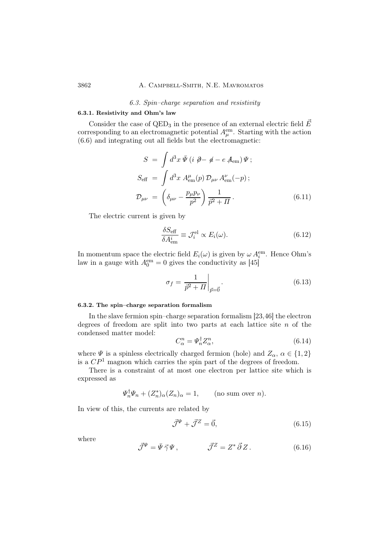# 3862 A. Campbell-Smith, N.E. Mavromatos

#### 6.3. Spin–charge separation and resistivity

# 6.3.1. Resistivity and Ohm's law

Consider the case of QED<sub>3</sub> in the presence of an external electric field  $\vec{E}$ corresponding to an electromagnetic potential  $A_{\mu}^{\text{em}}$ . Starting with the action (6.6) and integrating out all fields but the electromagnetic:

$$
S = \int d^3x \,\overline{\Psi} \left( i \not \partial - \not a - e \not A_{\rm em} \right) \Psi ;
$$
  
\n
$$
S_{\rm eff} = \int d^3x \, A_{\rm em}^{\mu}(p) \, \mathcal{D}_{\mu\nu} \, A_{\rm em}^{\nu}(-p) ;
$$
  
\n
$$
\mathcal{D}_{\mu\nu} = \left( \delta_{\mu\nu} - \frac{p_{\mu} p_{\nu}}{p^2} \right) \frac{1}{\overline{p^2 + \Pi}} .
$$
\n(6.11)

The electric current is given by

$$
\frac{\delta S_{\text{eff}}}{\delta A_{\text{em}}^i} \equiv \mathcal{J}_i^{\text{el}} \propto E_i(\omega). \tag{6.12}
$$

In momentum space the electric field  $E_i(\omega)$  is given by  $\omega A_i^{\text{em}}$ . Hence Ohm's law in a gauge with  $A_0^{\text{em}} = 0$  gives the conductivity as [45]

$$
\sigma_f = \frac{1}{\vec{p}^2 + \Pi} \bigg|_{\vec{p} = \vec{0}}.
$$
\n(6.13)

### 6.3.2. The spin–charge separation formalism

In the slave fermion spin–charge separation formalism [23,46] the electron degrees of freedom are split into two parts at each lattice site  $n$  of the condensed matter model:

$$
C_{\alpha}^{n} = \varPsi_{n}^{\dagger} Z_{\alpha}^{n},\tag{6.14}
$$

where  $\Psi$  is a spinless electrically charged fermion (hole) and  $Z_{\alpha}$ ,  $\alpha \in \{1,2\}$ is a  $\mathbb{CP}^1$  magnon which carries the spin part of the degrees of freedom.

There is a constraint of at most one electron per lattice site which is expressed as

$$
\Psi_n^{\dagger} \Psi_n + (Z_n^*)_{\alpha} (Z_n)_{\alpha} = 1, \qquad \text{(no sum over } n\text{)}.
$$

In view of this, the currents are related by

$$
\vec{\mathcal{J}}^{\Psi} + \vec{\mathcal{J}}^Z = \vec{0},\tag{6.15}
$$

where

$$
\vec{\mathcal{J}}^{\Psi} = \bar{\Psi} \vec{\gamma} \Psi , \qquad \qquad \vec{\mathcal{J}}^Z = Z^* \vec{\partial} Z . \qquad (6.16)
$$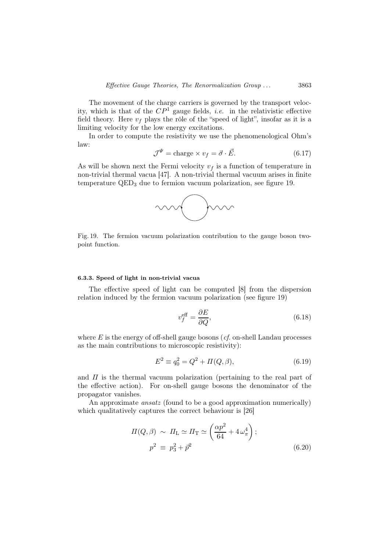The movement of the charge carriers is governed by the transport velocity, which is that of the  $\overline{CP}^1$  gauge fields, *i.e.* in the relativistic effective field theory. Here  $v_f$  plays the rôle of the "speed of light", insofar as it is a limiting velocity for the low energy excitations.

In order to compute the resistivity we use the phenomenological Ohm's law:

$$
\mathcal{J}^{\Psi} = \text{charge} \times v_f = \vec{\sigma} \cdot \vec{E}.
$$
 (6.17)

As will be shown next the Fermi velocity  $v_f$  is a function of temperature in non-trivial thermal vacua [47]. A non-trivial thermal vacuum arises in finite temperature QED<sup>3</sup> due to fermion vacuum polarization, see figure 19.



Fig. 19. The fermion vacuum polarization contribution to the gauge boson twopoint function.

#### 6.3.3. Speed of light in non-trivial vacua

The effective speed of light can be computed [8] from the dispersion relation induced by the fermion vacuum polarization (see figure 19)

$$
v_f^{\text{eff}} = \frac{\partial E}{\partial Q},\tag{6.18}
$$

where  $E$  is the energy of off-shell gauge bosons (*cf.* on-shell Landau processes as the main contributions to microscopic resistivity):

$$
E^2 \equiv q_0^2 = Q^2 + \Pi(Q, \beta), \tag{6.19}
$$

and  $\Pi$  is the thermal vacuum polarization (pertaining to the real part of the effective action). For on-shell gauge bosons the denominator of the propagator vanishes.

An approximate *ansatz* (found to be a good approximation numerically) which qualitatively captures the correct behaviour is [26]

$$
\Pi(Q,\beta) \sim \Pi_{\text{L}} \simeq \Pi_{\text{T}} \simeq \left(\frac{\alpha p^2}{64} + 4\,\omega_{\pi}^4\right);
$$
  

$$
p^2 \equiv p_3^2 + \vec{p}^2 \tag{6.20}
$$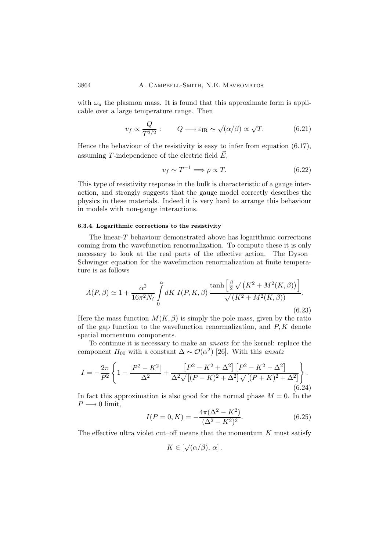with  $\omega_{\pi}$  the plasmon mass. It is found that this approximate form is applicable over a large temperature range. Then

$$
v_f \propto \frac{Q}{T^{3/2}}: \qquad Q \longrightarrow \varepsilon_{\text{IR}} \sim \sqrt{(\alpha/\beta)} \propto \sqrt{T}.\tag{6.21}
$$

Hence the behaviour of the resistivity is easy to infer from equation (6.17), assuming T-independence of the electric field  $\vec{E}$ ,

$$
v_f \sim T^{-1} \Longrightarrow \rho \propto T. \tag{6.22}
$$

This type of resistivity response in the bulk is characteristic of a gauge interaction, and strongly suggests that the gauge model correctly describes the physics in these materials. Indeed it is very hard to arrange this behaviour in models with non-gauge interactions.

### 6.3.4. Logarithmic corrections to the resistivity

The linear-T behaviour demonstrated above has logarithmic corrections coming from the wavefunction renormalization. To compute these it is only necessary to look at the real parts of the effective action. The Dyson– Schwinger equation for the wavefunction renormalization at finite temperature is as follows

$$
A(P,\beta) \simeq 1 + \frac{\alpha^2}{16\pi^2 N_{\rm f}} \int_{0}^{\alpha} dK \, I(P,K,\beta) \, \frac{\tanh\left[\frac{\beta}{2}\sqrt{(K^2 + M^2(K,\beta))}\right]}{\sqrt{(K^2 + M^2(K,\beta))}}.
$$
\n(6.23)

Here the mass function  $M(K, \beta)$  is simply the pole mass, given by the ratio of the gap function to the wavefunction renormalization, and  $P, K$  denote spatial momentum components.

To continue it is necessary to make an ansatz for the kernel: replace the component  $\Pi_{00}$  with a constant  $\Delta \sim \mathcal{O}(\alpha^2)$  [26]. With this ansatz

$$
I = -\frac{2\pi}{P^2} \left\{ 1 - \frac{|P^2 - K^2|}{\Delta^2} + \frac{[P^2 - K^2 + \Delta^2] [P^2 - K^2 - \Delta^2]}{\Delta^2 \sqrt{[(P - K)^2 + \Delta^2]} \sqrt{[(P + K)^2 + \Delta^2]}} \right\}.
$$
\n(6.24)

In fact this approximation is also good for the normal phase  $M = 0$ . In the  $P \longrightarrow 0$  limit,

$$
I(P = 0, K) = -\frac{4\pi(\Delta^2 - K^2)}{(\Delta^2 + K^2)^2}.
$$
\n(6.25)

The effective ultra violet cut–off means that the momentum  $K$  must satisfy

$$
K\in [\sqrt(\alpha/\beta),\,\alpha]\,.
$$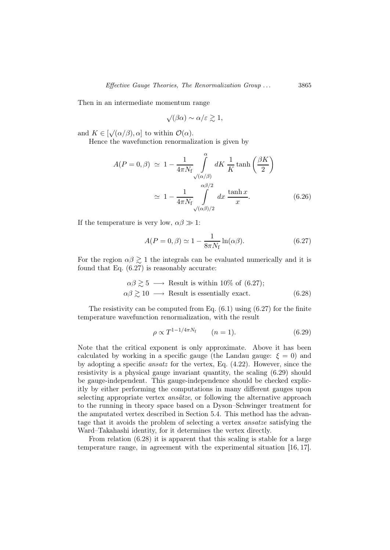Then in an intermediate momentum range

$$
\sqrt{(\beta\alpha)} \sim \alpha/\varepsilon \gtrsim 1,
$$

and  $K \in [\sqrt{\alpha/\beta}, \alpha]$  to within  $\mathcal{O}(\alpha)$ .

Hence the wavefunction renormalization is given by

$$
A(P = 0, \beta) \simeq 1 - \frac{1}{4\pi N_{\rm f}} \int_{\sqrt{(\alpha/\beta)}}^{\alpha} dK \frac{1}{K} \tanh\left(\frac{\beta K}{2}\right)
$$

$$
\simeq 1 - \frac{1}{4\pi N_{\rm f}} \int_{\sqrt{(\alpha/\beta)/2}}^{\alpha\beta/2} dx \frac{\tanh x}{x}.
$$
(6.26)

If the temperature is very low,  $\alpha\beta \gg 1$ :

$$
A(P = 0, \beta) \simeq 1 - \frac{1}{8\pi N_f} \ln(\alpha \beta). \tag{6.27}
$$

For the region  $\alpha\beta \gtrsim 1$  the integrals can be evaluated numerically and it is found that Eq. (6.27) is reasonably accurate:

$$
\alpha \beta \gtrsim 5 \longrightarrow \text{Result is within 10\% of (6.27);}
$$
  

$$
\alpha \beta \gtrsim 10 \longrightarrow \text{Result is essentially exact.}
$$
 (6.28)

The resistivity can be computed from Eq.  $(6.1)$  using  $(6.27)$  for the finite temperature wavefunction renormalization, with the result

$$
\rho \propto T^{1 - 1/4\pi N_{\rm f}} \qquad (n = 1). \tag{6.29}
$$

Note that the critical exponent is only approximate. Above it has been calculated by working in a specific gauge (the Landau gauge:  $\xi = 0$ ) and by adopting a specific ansatz for the vertex, Eq. (4.22). However, since the resistivity is a physical gauge invariant quantity, the scaling (6.29) should be gauge-independent. This gauge-independence should be checked explicitly by either performing the computations in many different gauges upon selecting appropriate vertex *ansätze*, or following the alternative approach to the running in theory space based on a Dyson–Schwinger treatment for the amputated vertex described in Section 5.4. This method has the advantage that it avoids the problem of selecting a vertex ansatze satisfying the Ward–Takahashi identity, for it determines the vertex directly.

From relation (6.28) it is apparent that this scaling is stable for a large temperature range, in agreement with the experimental situation [16, 17].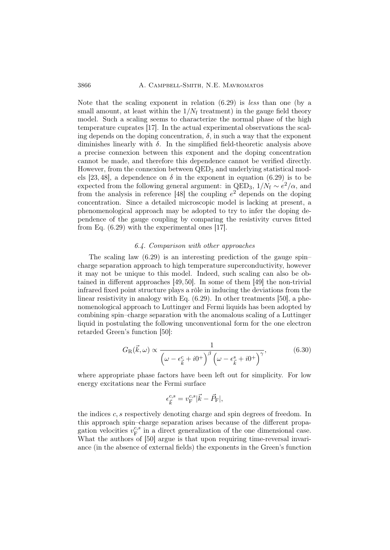3866 A. CAMPBELL-SMITH, N.E. MAVROMATOS

Note that the scaling exponent in relation  $(6.29)$  is less than one (by a small amount, at least within the  $1/N_f$  treatment) in the gauge field theory model. Such a scaling seems to characterize the normal phase of the high temperature cuprates [17]. In the actual experimental observations the scaling depends on the doping concentration,  $\delta$ , in such a way that the exponent diminishes linearly with  $\delta$ . In the simplified field-theoretic analysis above a precise connexion between this exponent and the doping concentration cannot be made, and therefore this dependence cannot be verified directly. However, from the connexion between  $QED<sub>3</sub>$  and underlying statistical models [23, 48], a dependence on  $\delta$  in the exponent in equation (6.29) is to be expected from the following general argument: in QED<sub>3</sub>,  $1/N_f \sim e^2/\alpha$ , and from the analysis in reference [48] the coupling  $e^2$  depends on the doping concentration. Since a detailed microscopic model is lacking at present, a phenomenological approach may be adopted to try to infer the doping dependence of the gauge coupling by comparing the resistivity curves fitted from Eq. (6.29) with the experimental ones [17].

# 6.4. Comparison with other approaches

The scaling law (6.29) is an interesting prediction of the gauge spin– charge separation approach to high temperature superconductivity, however it may not be unique to this model. Indeed, such scaling can also be obtained in different approaches [49, 50]. In some of them [49] the non-trivial infrared fixed point structure plays a rôle in inducing the deviations from the linear resistivity in analogy with Eq. (6.29). In other treatments [50], a phenomenological approach to Luttinger and Fermi liquids has been adopted by combining spin–charge separation with the anomalous scaling of a Luttinger liquid in postulating the following unconventional form for the one electron retarded Green's function [50]:

$$
G_{\rm R}(\vec{k},\omega) \propto \frac{1}{\left(\omega - \epsilon_{\vec{k}}^c + i0^+\right)^{\beta} \left(\omega - \epsilon_{\vec{k}}^s + i0^+\right)^{\gamma}},\tag{6.30}
$$

where appropriate phase factors have been left out for simplicity. For low energy excitations near the Fermi surface

$$
\epsilon_{\vec{k}}^{c,s} = v_{\mathrm{F}}^{c,s} |\vec{k} - \vec{P}_{\mathrm{F}}|,
$$

the indices c, s respectively denoting charge and spin degrees of freedom. In this approach spin–charge separation arises because of the different propagation velocities  $v_F^{c,s}$  $E_F^{c,s}$  in a direct generalization of the one dimensional case. What the authors of [50] argue is that upon requiring time-reversal invariance (in the absence of external fields) the exponents in the Green's function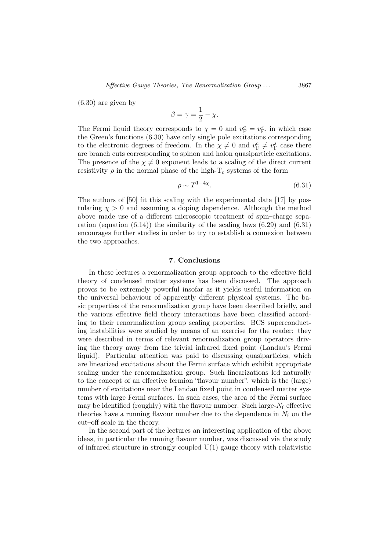(6.30) are given by

$$
\beta = \gamma = \frac{1}{2} - \chi.
$$

The Fermi liquid theory corresponds to  $\chi = 0$  and  $v_{\rm F}^c = v_{\rm F}^s$ , in which case the Green's functions (6.30) have only single pole excitations corresponding to the electronic degrees of freedom. In the  $\chi \neq 0$  and  $v_{\rm F}^c \neq v_{\rm F}^s$  case there are branch cuts corresponding to spinon and holon quasiparticle excitations. The presence of the  $\chi \neq 0$  exponent leads to a scaling of the direct current resistivity  $\rho$  in the normal phase of the high-T<sub>c</sub> systems of the form

$$
\rho \sim T^{1-4\chi}.\tag{6.31}
$$

The authors of [50] fit this scaling with the experimental data [17] by postulating  $\chi > 0$  and assuming a doping dependence. Although the method above made use of a different microscopic treatment of spin–charge separation (equation  $(6.14)$ ) the similarity of the scaling laws  $(6.29)$  and  $(6.31)$ encourages further studies in order to try to establish a connexion between the two approaches.

# 7. Conclusions

In these lectures a renormalization group approach to the effective field theory of condensed matter systems has been discussed. The approach proves to be extremely powerful insofar as it yields useful information on the universal behaviour of apparently different physical systems. The basic properties of the renormalization group have been described briefly, and the various effective field theory interactions have been classified according to their renormalization group scaling properties. BCS superconducting instabilities were studied by means of an exercise for the reader: they were described in terms of relevant renormalization group operators driving the theory away from the trivial infrared fixed point (Landau's Fermi liquid). Particular attention was paid to discussing quasiparticles, which are linearized excitations about the Fermi surface which exhibit appropriate scaling under the renormalization group. Such linearizations led naturally to the concept of an effective fermion "flavour number", which is the (large) number of excitations near the Landau fixed point in condensed matter systems with large Fermi surfaces. In such cases, the area of the Fermi surface may be identified (roughly) with the flavour number. Such large- $N_f$  effective theories have a running flavour number due to the dependence in  $N_f$  on the cut–off scale in the theory.

In the second part of the lectures an interesting application of the above ideas, in particular the running flavour number, was discussed via the study of infrared structure in strongly coupled  $U(1)$  gauge theory with relativistic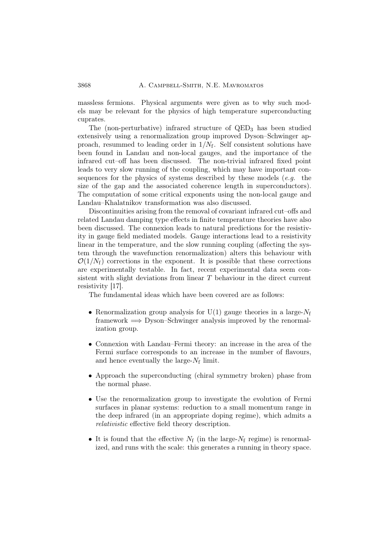massless fermions. Physical arguments were given as to why such models may be relevant for the physics of high temperature superconducting cuprates.

The (non-perturbative) infrared structure of QED<sup>3</sup> has been studied extensively using a renormalization group improved Dyson–Schwinger approach, resummed to leading order in  $1/N_f$ . Self consistent solutions have been found in Landau and non-local gauges, and the importance of the infrared cut–off has been discussed. The non-trivial infrared fixed point leads to very slow running of the coupling, which may have important consequences for the physics of systems described by these models  $(e.g.$  the size of the gap and the associated coherence length in superconductors). The computation of some critical exponents using the non-local gauge and Landau–Khalatnikov transformation was also discussed.

Discontinuities arising from the removal of covariant infrared cut–offs and related Landau damping type effects in finite temperature theories have also been discussed. The connexion leads to natural predictions for the resistivity in gauge field mediated models. Gauge interactions lead to a resistivity linear in the temperature, and the slow running coupling (affecting the system through the wavefunction renormalization) alters this behaviour with  $\mathcal{O}(1/N_f)$  corrections in the exponent. It is possible that these corrections are experimentally testable. In fact, recent experimental data seem consistent with slight deviations from linear  $T$  behaviour in the direct current resistivity [17].

The fundamental ideas which have been covered are as follows:

- Renormalization group analysis for  $U(1)$  gauge theories in a large- $N_f$ framework  $\implies$  Dyson–Schwinger analysis improved by the renormalization group.
- Connexion with Landau–Fermi theory: an increase in the area of the Fermi surface corresponds to an increase in the number of flavours, and hence eventually the large- $N_f$  limit.
- Approach the superconducting (chiral symmetry broken) phase from the normal phase.
- Use the renormalization group to investigate the evolution of Fermi surfaces in planar systems: reduction to a small momentum range in the deep infrared (in an appropriate doping regime), which admits a relativistic effective field theory description.
- It is found that the effective  $N_f$  (in the large- $N_f$  regime) is renormalized, and runs with the scale: this generates a running in theory space.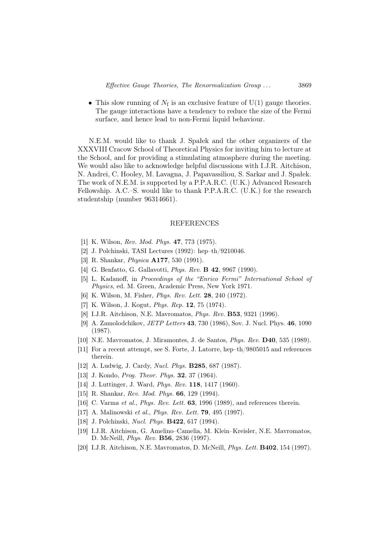• This slow running of  $N_f$  is an exclusive feature of  $U(1)$  gauge theories. The gauge interactions have a tendency to reduce the size of the Fermi surface, and hence lead to non-Fermi liquid behaviour.

N.E.M. would like to thank J. Spałek and the other organizers of the XXXVIII Cracow School of Theoretical Physics for inviting him to lecture at the School, and for providing a stimulating atmosphere during the meeting. We would also like to acknowledge helpful discussions with I.J.R. Aitchison, N. Andrei, C. Hooley, M. Lavagna, J. Papavassiliou, S. Sarkar and J. Spałek. The work of N.E.M. is supported by a P.P.A.R.C. (U.K.) Advanced Research Fellowship. A.C.–S. would like to thank P.P.A.R.C. (U.K.) for the research studentship (number 96314661).

### REFERENCES

- [1] K. Wilson, Rev. Mod. Phys. 47, 773 (1975).
- [2] J. Polchinski, TASI Lectures (1992): hep–th/9210046.
- [3] R. Shankar, Physica A177, 530 (1991).
- [4] G. Benfatto, G. Gallavotti, *Phys. Rev.* **B 42**, 9967 (1990).
- [5] L. Kadanoff, in Proceedings of the "Enrico Fermi" International School of Physics, ed. M. Green, Academic Press, New York 1971.
- [6] K. Wilson, M. Fisher, Phys. Rev. Lett. 28, 240 (1972).
- [7] K. Wilson, J. Kogut, Phys. Rep. 12, 75 (1974).
- [8] I.J.R. Aitchison, N.E. Mavromatos, Phys. Rev. B53, 9321 (1996).
- [9] A. Zamolodchikov, JETP Letters 43, 730 (1986), Sov. J. Nucl. Phys. 46, 1090 (1987).
- [10] N.E. Mavromatos, J. Miramontes, J. de Santos, Phys. Rev. D40, 535 (1989).
- [11] For a recent attempt, see S. Forte, J. Latorre, hep–th/9805015 and references therein.
- [12] A. Ludwig, J. Cardy, Nucl. Phys. B285, 687 (1987).
- [13] J. Kondo, *Prog. Theor. Phys.* **32**, 37 (1964).
- [14] J. Luttinger, J. Ward, *Phys. Rev.* **118**, 1417 (1960).
- [15] R. Shankar, *Rev. Mod. Phys.* **66**, 129 (1994).
- [16] C. Varma et al., *Phys. Rev. Lett.* **63**, 1996 (1989), and references therein.
- [17] A. Malinowski et al., Phys. Rev. Lett. 79, 495 (1997).
- [18] J. Polchinski, *Nucl. Phys.* **B422**, 617 (1994).
- [19] I.J.R. Aitchison, G. Amelino–Camelia, M. Klein–Kreisler, N.E. Mavromatos, D. McNeill, Phys. Rev. B56, 2836 (1997).
- [20] I.J.R. Aitchison, N.E. Mavromatos, D. McNeill, Phys. Lett. B402, 154 (1997).